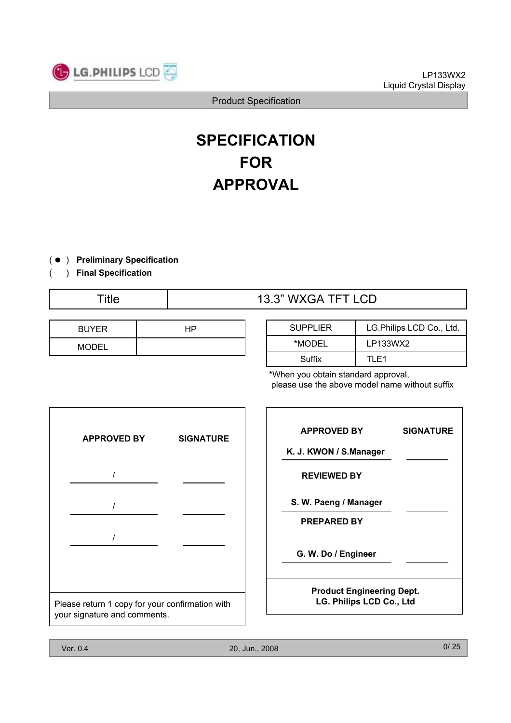

# **SPECIFICATION FOR APPROVAL**

- ) ( **Preliminary Specification**
- ) **Final Specification** (

# Title  $\overline{1}$  13.3" WXGA TFT LCD

| <b>BUYER</b> |  |
|--------------|--|
| <b>MODEL</b> |  |

| <b>SUPPLIER</b> | LG. Philips LCD Co., Ltd. |  |
|-----------------|---------------------------|--|
| *MODEL          | LP133WX2                  |  |
| Suffix          | TI F1                     |  |

\*When you obtain standard approval, please use the above model name without suffix



| <b>APPROVED BY</b>                                           | <b>SIGNATURE</b> |
|--------------------------------------------------------------|------------------|
| K. J. KWON / S.Manager                                       |                  |
| <b>REVIEWED BY</b>                                           |                  |
| S. W. Paeng / Manager                                        |                  |
| <b>PREPARED BY</b>                                           |                  |
| G. W. Do / Engineer                                          |                  |
| <b>Product Engineering Dept.</b><br>LG. Philips LCD Co., Ltd |                  |

٦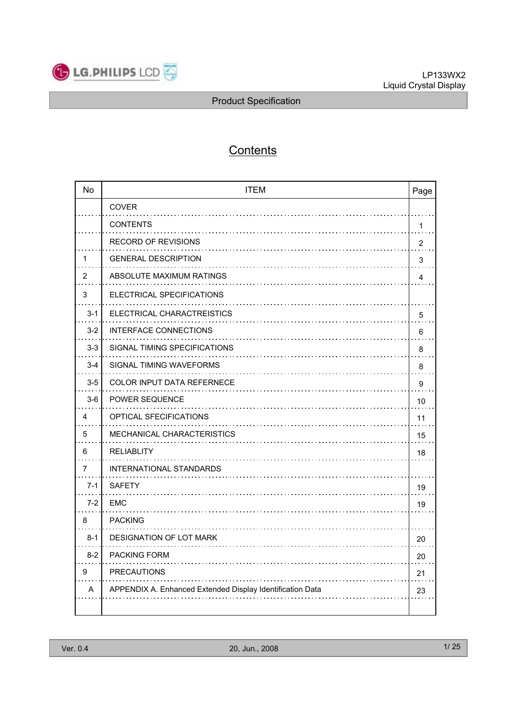

# **Contents**

| <b>No</b> | <b>ITEM</b><br>Page                                       |    |  |
|-----------|-----------------------------------------------------------|----|--|
|           | COVER                                                     |    |  |
|           | <b>CONTENTS</b>                                           | 1  |  |
|           | <b>RECORD OF REVISIONS</b>                                | 2  |  |
| 1         | <b>GENERAL DESCRIPTION</b>                                | 3  |  |
| 2         | ABSOLUTE MAXIMUM RATINGS                                  | 4  |  |
| 3         | ELECTRICAL SPECIFICATIONS                                 |    |  |
| $3 - 1$   | ELECTRICAL CHARACTREISTICS                                | 5  |  |
| $3 - 2$   | <b>INTERFACE CONNECTIONS</b>                              | 6  |  |
| $3 - 3$   | SIGNAL TIMING SPECIFICATIONS                              | 8  |  |
| $3 - 4$   | SIGNAL TIMING WAVEFORMS                                   | 8  |  |
| $3-5$     | <b>COLOR INPUT DATA REFERNECE</b>                         | 9  |  |
| $3-6$     | <b>POWER SEQUENCE</b>                                     | 10 |  |
| 4         | <b>OPTICAL SFECIFICATIONS</b>                             | 11 |  |
| 5         | MECHANICAL CHARACTERISTICS                                | 15 |  |
| 6         | <b>RELIABLITY</b>                                         | 18 |  |
| 7         | INTERNATIONAL STANDARDS                                   |    |  |
| $7 - 1$   | <b>SAFETY</b>                                             | 19 |  |
| $7-2$     | EMC                                                       | 19 |  |
| 8         | <b>PACKING</b>                                            |    |  |
| $8 - 1$   | DESIGNATION OF LOT MARK                                   | 20 |  |
| $8-2$     | <b>PACKING FORM</b>                                       | 20 |  |
| 9         | <b>PRECAUTIONS</b>                                        | 21 |  |
| A         | APPENDIX A. Enhanced Extended Display Identification Data | 23 |  |
|           |                                                           |    |  |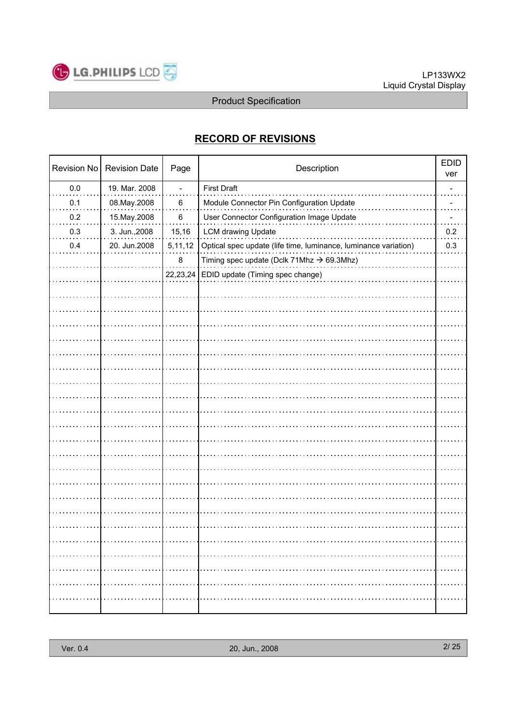

# **RECORD OF REVISIONS**

| <b>Revision No</b> | <b>Revision Date</b> | Page                         | Description                                                     | <b>EDID</b><br>ver |
|--------------------|----------------------|------------------------------|-----------------------------------------------------------------|--------------------|
| 0.0                | 19. Mar. 2008        | $\qquad \qquad \blacksquare$ | <b>First Draft</b>                                              |                    |
| 0.1                | 08. May . 2008       | 6                            | Module Connector Pin Configuration Update                       |                    |
| 0.2                | 15. May . 2008       | 6                            | User Connector Configuration Image Update                       |                    |
| 0.3                | 3. Jun., 2008        | 15,16                        | <b>LCM drawing Update</b>                                       | 0.2                |
| 0.4                | 20. Jun.2008         | 5,11,12                      | Optical spec update (life time, luminance, luminance variation) | 0.3                |
|                    |                      | 8                            | Timing spec update (Dclk 71Mhz $\rightarrow$ 69.3Mhz)           |                    |
|                    |                      | 22,23,24                     | EDID update (Timing spec change)                                |                    |
|                    |                      |                              |                                                                 |                    |
|                    |                      |                              |                                                                 |                    |
|                    |                      |                              |                                                                 |                    |
|                    |                      |                              |                                                                 |                    |
|                    |                      |                              |                                                                 |                    |
|                    |                      |                              |                                                                 |                    |
|                    |                      |                              |                                                                 |                    |
|                    |                      |                              |                                                                 |                    |
|                    |                      |                              |                                                                 |                    |
|                    |                      |                              |                                                                 |                    |
|                    |                      |                              |                                                                 |                    |
|                    |                      |                              |                                                                 |                    |
|                    |                      |                              |                                                                 |                    |
|                    |                      |                              |                                                                 |                    |
|                    |                      |                              |                                                                 |                    |
|                    |                      |                              |                                                                 |                    |
|                    |                      |                              |                                                                 |                    |
|                    |                      |                              |                                                                 |                    |
|                    |                      |                              |                                                                 | .                  |
|                    |                      |                              |                                                                 | .                  |
| .                  |                      |                              |                                                                 |                    |
|                    |                      |                              |                                                                 | .                  |
|                    |                      |                              |                                                                 |                    |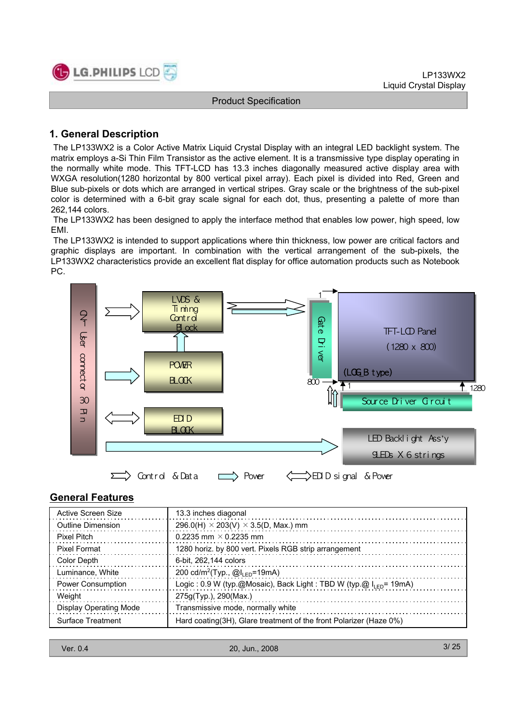

## **1. General Description**

The LP133WX2 is a Color Active Matrix Liquid Crystal Display with an integral LED backlight system. The matrix employs a-Si Thin Film Transistor as the active element. It is a transmissive type display operating in the normally white mode. This TFT-LCD has 13.3 inches diagonally measured active display area with WXGA resolution(1280 horizontal by 800 vertical pixel array). Each pixel is divided into Red, Green and Blue sub-pixels or dots which are arranged in vertical stripes. Gray scale or the brightness of the sub-pixel color is determined with a 6-bit gray scale signal for each dot, thus, presenting a palette of more than 262,144 colors.

The LP133WX2 has been designed to apply the interface method that enables low power, high speed, low EMI.

The LP133WX2 is intended to support applications where thin thickness, low power are critical factors and graphic displays are important. In combination with the vertical arrangement of the sub-pixels, the LP133WX2 characteristics provide an excellent flat display for office automation products such as Notebook PC.



### **General Features**

| Active Screen Size            | 13.3 inches diagonal                                                   |
|-------------------------------|------------------------------------------------------------------------|
| Outline Dimension             | 296.0(H) $\times$ 203(V) $\times$ 3.5(D, Max.) mm                      |
| <b>Pixel Pitch</b>            | 0.2235 mm $\times$ 0.2235 mm                                           |
| Pixel Format                  | 1280 horiz. by 800 vert. Pixels RGB strip arrangement                  |
| Color Depth                   | 6-bit. 262.144 colors                                                  |
| Luminance, White              | 200 cd/m <sup>2</sup> (Typ., $@I_{LED}$ =19mA)                         |
| Power Consumption             | Logic: 0.9 W (typ.@Mosaic), Back Light: TBD W (typ.@ $I_{LED}$ = 19mA) |
| Weight                        | 275g(Typ.), 290(Max.)                                                  |
| <b>Display Operating Mode</b> | Transmissive mode, normally white                                      |
| Surface Treatment             | Hard coating (3H), Glare treatment of the front Polarizer (Haze 0%)    |

| Ver. 0.4 |
|----------|
|----------|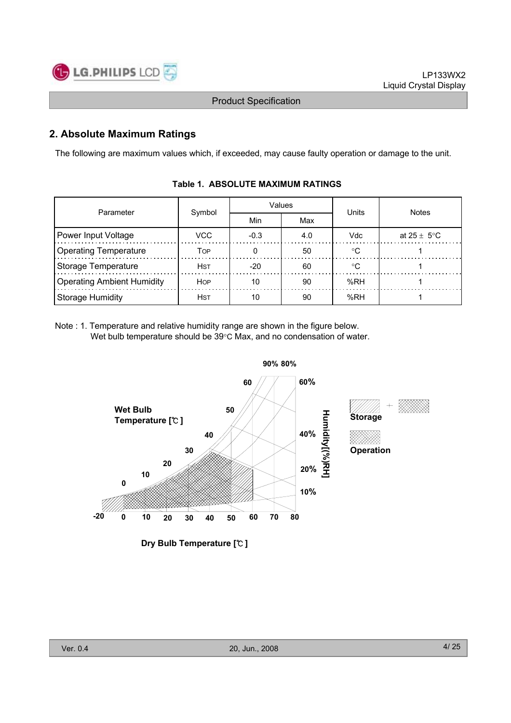

# **2. Absolute Maximum Ratings**

The following are maximum values which, if exceeded, may cause faulty operation or damage to the unit.

| Parameter                         | Symbol      |        | Values | Units      | <b>Notes</b>            |  |
|-----------------------------------|-------------|--------|--------|------------|-------------------------|--|
|                                   |             | Min    | Max    |            |                         |  |
| Power Input Voltage               | VCC.        | $-0.3$ | 4.0    | <b>Vdc</b> | at $25 \pm 5^{\circ}$ C |  |
| <b>Operating Temperature</b>      | Тор         |        | 50     | ം          |                         |  |
| Storage Temperature               | <b>H</b> st | $-20$  | 60     | ം          |                         |  |
| <b>Operating Ambient Humidity</b> | <b>HOP</b>  | 10     | 90     | %RH        |                         |  |
| Storage Humidity                  | <b>HST</b>  | 10     | 90     | %RH        |                         |  |

### **Table 1. ABSOLUTE MAXIMUM RATINGS**

Note : 1. Temperature and relative humidity range are shown in the figure below. Wet bulb temperature should be  $39^{\circ}$ C Max, and no condensation of water.



**Dry Bulb Temperature [**℃ **]**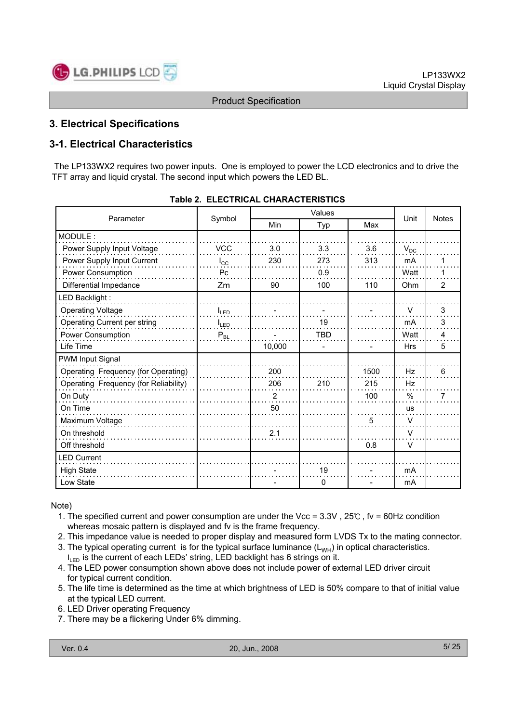

# **3. Electrical Specifications**

# **3-1. Electrical Characteristics**

The LP133WX2 requires two power inputs. One is employed to power the LCD electronics and to drive the TFT array and liquid crystal. The second input which powers the LED BL.

| Parameter                             |              | Values |              |      | Unit          | <b>Notes</b>   |
|---------------------------------------|--------------|--------|--------------|------|---------------|----------------|
|                                       | Symbol       | Min    | Typ          | Max  |               |                |
| MODULE:                               |              |        |              |      |               |                |
| Power Supply Input Voltage            | <b>VCC</b>   | 3.0    | 3.3          | 3.6  | $V_{DC}$      |                |
| Power Supply Input Current            | $I_{\rm CC}$ | 230    | 273          | 313  | mA            | 1              |
| Power Consumption                     | Pc           |        | 0.9          |      | Watt          | 1              |
| Differential Impedance                | Zm           | 90     | 100          | 110  | Ohm           | $\overline{2}$ |
| LED Backlight:                        |              |        |              |      |               |                |
| <b>Operating Voltage</b>              | <b>ILED</b>  |        |              |      | $\vee$        | 3              |
| Operating Current per string          | $I_{LED}$    |        | 19           |      | mA            | 3              |
| Power Consumption                     | $P_{BL}$     |        | <b>TBD</b>   |      | Watt          | 4              |
| Life Time                             |              | 10,000 |              |      | <b>Hrs</b>    | 5              |
| PWM Input Signal                      |              |        |              |      |               |                |
| Operating Frequency (for Operating)   |              | 200    |              | 1500 | Hz            | 6              |
| Operating Frequency (for Reliability) |              | 206    | 210          | 215  | Hz            |                |
| On Duty                               |              | 2      |              | 100  | $\frac{0}{0}$ | 7              |
| On Time                               |              | 50     |              |      | <b>us</b>     |                |
| Maximum Voltage                       |              |        |              | 5    | $\vee$        |                |
| On threshold                          |              | 2.1    |              |      | $\vee$        |                |
| Off threshold                         |              |        |              | 0.8  | $\vee$        |                |
| <b>LED Current</b>                    |              |        |              |      |               |                |
| <b>High State</b>                     |              |        | 19           |      | mA            |                |
| Low State                             |              |        | $\mathbf{0}$ |      | mA            |                |

Note)

- 1. The specified current and power consumption are under the Vcc = 3.3V , 25℃ , fv = 60Hz condition whereas mosaic pattern is displayed and fv is the frame frequency.
- 2. This impedance value is needed to proper display and measured form LVDS Tx to the mating connector.
- 3. The typical operating current is for the typical surface luminance  $(L_{WH})$  in optical characteristics.
- $I_{LED}$  is the current of each LEDs' string, LED backlight has 6 strings on it.
- 4. The LED power consumption shown above does not include power of external LED driver circuit for typical current condition.
- 5. The life time is determined as the time at which brightness of LED is 50% compare to that of initial value at the typical LED current.
- 6. LED Driver operating Frequency
- 7. There may be a flickering Under 6% dimming.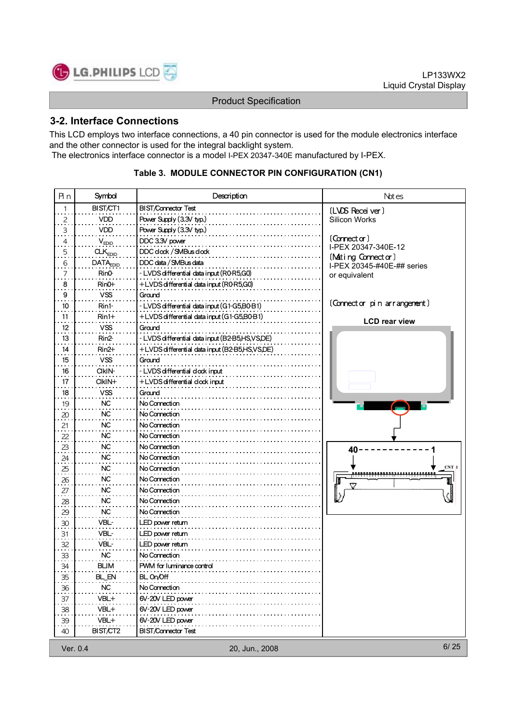

# **3-2. Interface Connections**

This LCD employs two interface connections, a 40 pin connector is used for the module electronics interface and the other connector is used for the integral backlight system. The electronics interface connector is a model I-PEX 20347-340E manufactured by I-PEX.

| Яn                           | Symbol               | Description                                     | Not es                                           |
|------------------------------|----------------------|-------------------------------------------------|--------------------------------------------------|
| 1                            | BIST/CT1             | <b>BIST/Connector Test</b>                      | (LVDS Receiver)                                  |
| $\frac{2}{1}$                | <b>VDD</b>           | Power Supply (3.3V typ.)                        | Silicon Works                                    |
| $\ddot{\cdot}$               | VDD                  | Power Supply (3.3V typ.)                        |                                                  |
| $\overline{4}$               | $V_{EDID}$           | DDC 3.3V power                                  | $($ Connector $)$                                |
| 5                            | CLK <sub>EDID</sub>  | DDC clock / SMBus clock                         | I-PEX 20347-340E-12                              |
| 6                            | DATA <sub>EDID</sub> | DDC data / SMBus data                           | (Mating Connector)<br>I-PEX 20345-#40E-## series |
| 7                            | Rin <sub>0</sub>     | - LVDS differential data input (R0-R5,G0)       | or equivalent                                    |
| 8                            | $RinO+$              | +LVDS differential data input (R0-R5,G0)        |                                                  |
| 9                            | <b>VSS</b>           | Grand                                           |                                                  |
| 10                           | Rin1-                | - LVDS differential data input (G1-G5,B0-B1)    | (Connector pin arrangement)                      |
| 11                           | $Rin1+$              | +LVDS differential data input (G1-G5,B0-B1)     |                                                  |
| 12                           | VSS                  | Ground                                          | <b>LCD rear view</b>                             |
| 13                           | Rin <sub>2</sub>     | - LVDS differential data input (B2-B5,HS,VS,DE) |                                                  |
| 14                           | $Rin2+$              | +LVDS differential data input (B2-B5,HS,VS,DE)  |                                                  |
| 15                           | <b>VSS</b>           | Ground                                          |                                                  |
| 16                           | CIKIN-               | - LVDS differential clock input                 |                                                  |
| 17                           | $C$ $K$ $N+$         | +LVDS differential clock input                  |                                                  |
| 18                           | <b>VSS</b>           | Ground                                          |                                                  |
| 19                           | <b>NC</b>            | No Connection                                   |                                                  |
| $\frac{20}{1}$               | <b>NC</b>            | No Connection                                   |                                                  |
| 21                           | <b>NC</b>            | No Connection                                   |                                                  |
| $\frac{22}{11}$              | NC                   | No Connection                                   |                                                  |
|                              | NC                   | No Connection                                   |                                                  |
| $\stackrel{23}{\cdot}$<br>24 | <b>NC</b>            | No Connection                                   | 40                                               |
| 25                           | NС                   | No Connection                                   | $CNT$ $\uparrow$                                 |
| 26                           | <b>NC</b>            | No Connection                                   |                                                  |
| 27                           | NC.                  | No Connection                                   |                                                  |
| 28                           | <b>NC</b>            | No Connection                                   |                                                  |
|                              | <b>NC</b>            | No Connection                                   |                                                  |
| $\frac{29}{11}$<br>30        | VBL-                 | LED power return                                |                                                  |
| 31                           | VBL-                 | LED power return                                |                                                  |
| 32                           | VBL-                 | LED power return                                |                                                  |
|                              | <b>NC</b>            | No Connection                                   |                                                  |
| $\frac{33}{2}$<br>34         |                      |                                                 |                                                  |
|                              | <b>BLIM</b>          | PWM for luminance control                       |                                                  |
| $\frac{35}{1}$               | BL_EN                | BL On/Off                                       |                                                  |
| $\frac{36}{1}$               | <b>NC</b>            | No Connection                                   |                                                  |
| 37                           | VBL+                 | 6V-20V LED power                                |                                                  |
| $\frac{38}{1}$               | VBL+                 | 6V-20V LED power                                |                                                  |
| 39                           | VBL+                 | 6V-20V LED power                                |                                                  |
| 40                           | BIST/CT2             | <b>BIST/Connector Test</b>                      |                                                  |
| Ver. 0.4                     |                      | 20, Jun., 2008                                  | 6/25                                             |

### **Table 3. MODULE CONNECTOR PIN CONFIGURATION (CN1)**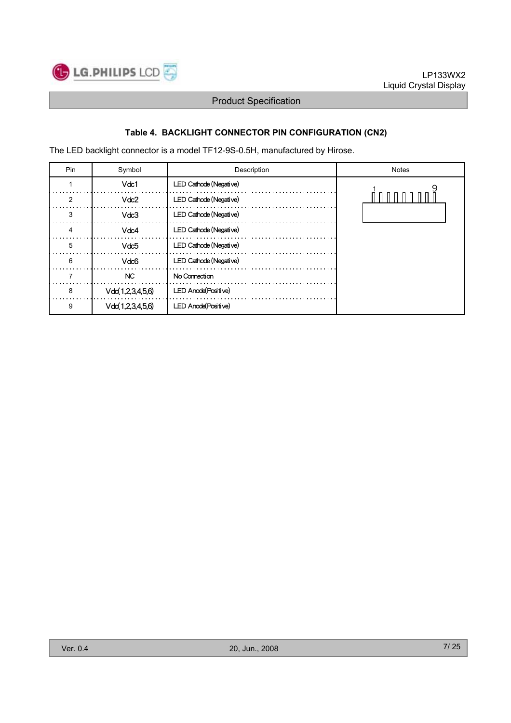

# **Table 4. BACKLIGHT CONNECTOR PIN CONFIGURATION (CN2)**

The LED backlight connector is a model TF12-9S-0.5H, manufactured by Hirose.

| Pin | Symbol           | Description                 | <b>Notes</b> |
|-----|------------------|-----------------------------|--------------|
|     | Vdc1             | LED Cathode (Negative)      |              |
| 2   | Vdc2             | LED Cathode (Negative)      |              |
| 3   | Vdc3             | LED Cathode (Negative)      |              |
|     | Vdc4             | LED Cathode (Negative)      |              |
| 5   | Vdc5             | LED Cathode (Negative)      |              |
| 6   | Vdc6             | LED Cathode (Negative)      |              |
|     | <b>NC</b>        | No Connection               |              |
| 8   | Vdc(1,2,3,4,5,6) | <b>LED Anode (Positive)</b> |              |
| 9   | Vdc(1,2,3,4,5,6) | <b>LED Anode (Positive)</b> |              |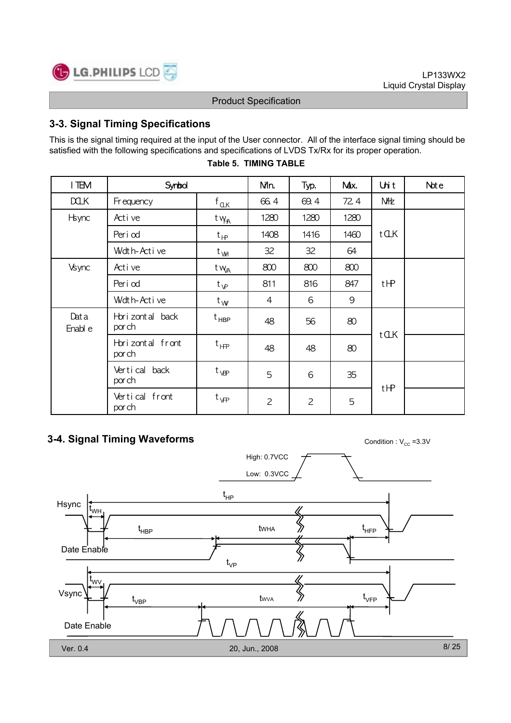

# **3-3. Signal Timing Specifications**

This is the signal timing required at the input of the User connector. All of the interface signal timing should be satisfied with the following specifications and specifications of LVDS Tx/Rx for its proper operation.

| I TEM           | Synbol                      |                   | Nin.           | Typ.           | Max. | Unit       | Note |
|-----------------|-----------------------------|-------------------|----------------|----------------|------|------------|------|
| <b>DOLK</b>     | Fr equency                  | $f_{\mathbb{Q}K}$ | 66.4           | 69.4           | 72.4 | <b>NHz</b> |      |
| <b>H</b> sync   | Active                      | t v <sub>HA</sub> | 1280           | 1280           | 1280 |            |      |
|                 | Peri od                     | $t_{\text{HP}}$   | 1408           | 1416           | 1460 | tCLK       |      |
|                 | Wdth-Active                 | $t_{V\!H}$        | 32             | 32             | 64   |            |      |
| Vsync           | Active                      | t w <sub>a</sub>  | 800            | 800            | 800  |            |      |
|                 | Peri od                     | $t_{\mathsf{V}P}$ | 811            | 816            | 847  | tHP        |      |
|                 | Wdth-Active                 | $t_{W}$           | 4              | 6              | 9    |            |      |
| Data<br>Enabl e | Hori zont al back<br>por ch | t <sub>HBP</sub>  | 48             | 56             | 80   |            |      |
|                 | Horizontal front<br>por ch  | $t_{HF}$          | 48             | 48             | 80   | tCLK       |      |
|                 | Vertical back<br>por ch     | $t_{\rm VP}$      | 5              | 6              | 35   |            |      |
|                 | Vertical front<br>por ch    | $t_{\text{VP}}$   | $\overline{c}$ | $\overline{c}$ | 5    | tHP        |      |

### **Table 5. TIMING TABLE**

# **3-4. Signal Timing Waveforms**

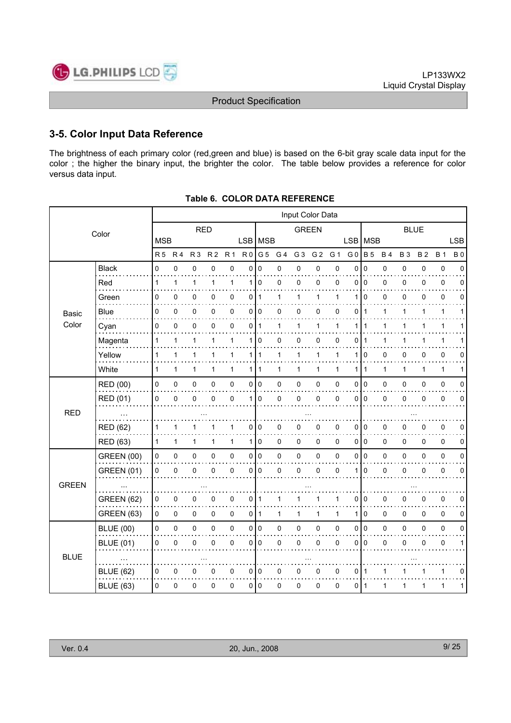

# **3-5. Color Input Data Reference**

The brightness of each primary color (red,green and blue) is based on the 6-bit gray scale data input for the color ; the higher the binary input, the brighter the color. The table below provides a reference for color versus data input.

|              |                   |              |                |                |                |                |                |                 | Input Color Data |              |                |           |                |                |              |           |           |              |            |
|--------------|-------------------|--------------|----------------|----------------|----------------|----------------|----------------|-----------------|------------------|--------------|----------------|-----------|----------------|----------------|--------------|-----------|-----------|--------------|------------|
|              | Color             |              |                | <b>RED</b>     |                |                |                |                 |                  | <b>GREEN</b> |                |           |                | <b>BLUE</b>    |              |           |           |              |            |
|              |                   | <b>MSB</b>   |                |                |                |                |                | LSB   MSB       |                  |              |                |           | <b>LSB</b>     | <b>MSB</b>     |              |           |           |              | <b>LSB</b> |
|              |                   | <b>R5</b>    | R <sub>4</sub> | R <sub>3</sub> | R <sub>2</sub> | R <sub>1</sub> | R <sub>0</sub> | G 5             | G 4              | G 3          | G <sub>2</sub> | G 1       | G <sub>0</sub> | <b>B</b> 5     | <b>B4</b>    | <b>B3</b> | <b>B2</b> | <b>B</b> 1   | <b>B0</b>  |
|              | <b>Black</b>      | 0            | $\mathbf 0$    | 0              | 0              | $\mathbf 0$    | 0              | $\mathbf 0$     | 0                | $\mathbf 0$  | $\mathsf 0$    | $\pmb{0}$ | $\mathbf 0$    | $\mathbf 0$    | $\pmb{0}$    | 0         | 0         | $\pmb{0}$    | 0          |
|              | Red               | 1            | 1              | $\mathbf{1}$   | 1              | 1              | 1              | $\mathbf 0$     | 0                | 0            | 0              | 0         | 0              | $\mathbf 0$    | 0            | 0         | 0         | 0            | 0          |
|              | Green             | 0            | 0              | 0              | 0              | $\mathbf 0$    | 0              | -1              | 1                | 1            | 1              | 1         | 1              | $\Omega$       | 0            | 0         | 0         | $\mathbf 0$  | 0          |
| <b>Basic</b> | <b>Blue</b>       | 0            | 0              | 0              | 0              | 0              |                | 0 0             | 0                | 0            | 0              | 0         | 0              | $\mathbf{1}$   | $\mathbf{1}$ | 1         | 1         | $\mathbf{1}$ | 1          |
| Color        | Cyan              | 0            | $\mathbf 0$    | 0              | 0              | 0              | 0              | $\mathbf{1}$    | 1                | 1            | 1              | 1         | 1              | 1              | 1            | 1         | 1         | 1            |            |
|              | Magenta           | 1            | 1              | 1              | 1              | $\mathbf{1}$   | 1 <sup>1</sup> | 0               | 0                | 0            | 0              | 0         | 0              | 1              | 1            | 1         | 1         | 1            |            |
|              | Yellow            | 1            | 1              | $\mathbf{1}$   | 1              | 1              | 1 I            | $\overline{1}$  | $\mathbf{1}$     | 1            | $\mathbf{1}$   | 1         | 1              | $\mathbf 0$    | 0            | 0         | 0         | $\mathbf 0$  | 0          |
|              | White             | $\mathbf{1}$ | $\mathbf{1}$   | 1              | 1              | $\mathbf{1}$   |                | 111             | 1                | 1            | 1              | 1         | 1              | $\mathbf{1}$   | 1            | 1         | 1         | $\mathbf{1}$ | 1          |
|              | RED (00)          | $\mathbf 0$  | 0              | 0              | 0              | $\pmb{0}$      |                | 0 <sup>10</sup> | 0                | 0            | 0              | 0         | 0              | I٥             | 0            | $\Omega$  | 0         | $\pmb{0}$    | $\Omega$   |
|              | <b>RED (01)</b>   | 0            | $\mathbf 0$    | 0              | 0              | 0              | 1 <sup>1</sup> | $\mathbf 0$     | 0                | $\mathbf 0$  | 0              | 0         | 0              | $\mathbf{0}$   | 0            | 0         | 0         | $\mathbf 0$  | 0          |
| <b>RED</b>   |                   |              |                |                |                |                |                |                 |                  |              |                |           |                |                |              |           |           |              |            |
|              | <b>RED (62)</b>   | 1            | 1              | 1              |                | 1              | 0              | 0               | 0                | 0            | 0              | 0         | 0              | 0              | 0            | 0         | 0         | $\mathbf 0$  | 0          |
|              | <b>RED (63)</b>   | 1            | $\mathbf 1$    | 1              | 1              | $\mathbf{1}$   |                | 110             | 0                | 0            | 0              | 0         | 0              | l 0            | 0            | 0         | 0         | $\mathbf 0$  | 0          |
|              | <b>GREEN (00)</b> | 0            | 0              | $\mathsf 0$    | 0              | $\pmb{0}$      |                | 0 0             | 0                | $\pmb{0}$    | 0              | 0         | 0              | I٥             | 0            | 0         | 0         | $\pmb{0}$    | 0          |
|              | <b>GREEN (01)</b> | 0            | 0              | 0              | 0              | $\pmb{0}$      | $\overline{0}$ | $\mathbf 0$     | 0                | 0            | 0              | 0         | 1              | 0              | 0            | 0         | 0         | $\mathbf 0$  | 0          |
| <b>GREEN</b> |                   |              |                |                |                |                |                |                 |                  |              |                |           |                |                |              |           |           |              |            |
|              | <b>GREEN (62)</b> | 0            | 0              | 0              | 0              | 0              | 0              | 1               | 1                |              | 1              | 1         | 0              | 0              | 0            | 0         | 0         | $\mathbf 0$  | 0          |
|              | <b>GREEN (63)</b> | 0            | 0              | $\mathbf 0$    | 0              | $\mathbf 0$    | $\overline{0}$ | $\mathbf{1}$    | $\mathbf{1}$     | 1            | 1              | 1         | 1              | $\Omega$       | $\mathbf 0$  | $\Omega$  | 0         | $\mathbf 0$  | 0          |
|              | <b>BLUE (00)</b>  | 0            | $\pmb{0}$      | $\mathsf 0$    | 0              | $\pmb{0}$      |                | 0 0             | 0                | 0            | $\mathsf 0$    | 0         | 0              | $\overline{0}$ | 0            | 0         | 0         | $\pmb{0}$    | 0          |
|              | <b>BLUE (01)</b>  | 0            | $\mathbf 0$    | 0              | 0              | $\mathbf 0$    | 0              | $\mathbf 0$     | 0                | 0            | 0              | 0         | 0              | 0              | 0            | 0         | 0         | $\mathbf 0$  | 1          |
| <b>BLUE</b>  |                   |              |                |                |                |                |                |                 |                  |              |                |           |                |                |              |           |           |              |            |
|              | <b>BLUE (62)</b>  | 0            | 0              | 0              | 0              | $\mathbf 0$    |                | 010             | 0                | 0            | 0              | 0         | 0              | -1             | 1            |           | 1         | 1            | 0          |
|              | <b>BLUE (63)</b>  | $\Omega$     | 0              | $\mathbf 0$    | 0              | 0              |                | 010             | 0                | 0            | 0              | 0         | 0              | ∣ 1            | 1            | 1         | 1         | 1            | 1          |

| Table 6. COLOR DATA REFERENCE |
|-------------------------------|
|                               |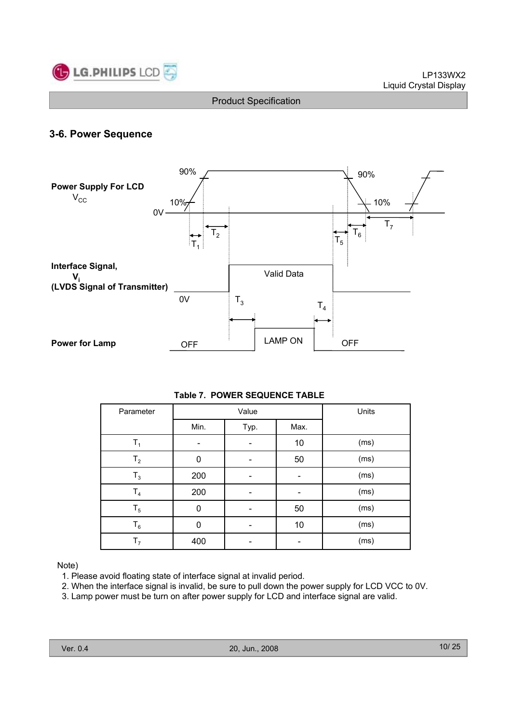

# **3-6. Power Sequence**



### **Table 7. POWER SEQUENCE TABLE**

| Parameter      |      | Value | Units |      |
|----------------|------|-------|-------|------|
|                | Min. | Typ.  | Max.  |      |
| $T_1$          |      |       | 10    | (ms) |
| T <sub>2</sub> | 0    |       | 50    | (ms) |
| $T_3$          | 200  |       |       | (ms) |
| $\mathsf{T}_4$ | 200  |       |       | (ms) |
| $T_5$          | 0    |       | 50    | (ms) |
| $T_6$          | 0    |       | 10    | (ms) |
| T <sub>7</sub> | 400  |       |       | (ms) |

### Note)

- 1. Please avoid floating state of interface signal at invalid period.
- 2. When the interface signal is invalid, be sure to pull down the power supply for LCD VCC to 0V.
- 3. Lamp power must be turn on after power supply for LCD and interface signal are valid.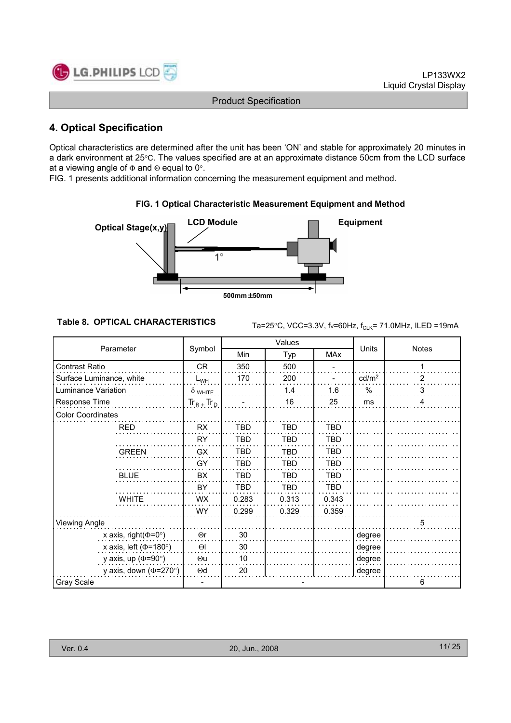

# **4. Optical Specification**

Optical characteristics are determined after the unit has been 'ON' and stable for approximately 20 minutes in a dark environment at 25°C. The values specified are at an approximate distance 50cm from the LCD surface at a viewing angle of  $\Phi$  and  $\Theta$  equal to 0°.

FIG. 1 presents additional information concerning the measurement equipment and method.



### **FIG. 1 Optical Characteristic Measurement Equipment and Method**

**Table 8. OPTICAL CHARACTERISTICS**  $\text{Ta=25}^{\circ}\text{C}$ , VCC=3.3V, f $\text{v=60Hz}$ ,  $\text{f}_{\text{CLK}}$ = 71.0MHz, ILED =19mA

|                              | Symbol          |            | Values     |            | <b>Units</b>      |              |
|------------------------------|-----------------|------------|------------|------------|-------------------|--------------|
| Parameter                    |                 | Min        | Typ        | <b>MAx</b> |                   | <b>Notes</b> |
| <b>Contrast Ratio</b>        | CR              | 350        | 500        |            |                   |              |
| Surface Luminance, white     | $L_{WH}$        | 170        | 200        |            | cd/m <sup>2</sup> | 2            |
| Luminance Variation          | $\delta$ white  |            | 1.4        | 1.6        | $\%$              | 3            |
| Response Time                | $Tr_R$ + $Tr_D$ |            | 16         | 25         | ms                | 4            |
| <b>Color Coordinates</b>     |                 |            |            |            |                   |              |
| <b>RED</b>                   | <b>RX</b>       | <b>TBD</b> | <b>TBD</b> | <b>TBD</b> |                   |              |
|                              | <b>RY</b>       | <b>TBD</b> | <b>TBD</b> | TBD        |                   |              |
| <b>GREEN</b>                 | GX              | <b>TBD</b> | <b>TBD</b> | <b>TBD</b> |                   |              |
|                              | GY              | <b>TBD</b> | <b>TBD</b> | <b>TBD</b> |                   |              |
| <b>BLUE</b>                  | <b>BX</b>       | <b>TBD</b> | <b>TBD</b> | <b>TBD</b> |                   |              |
|                              | BY              | <b>TBD</b> | <b>TBD</b> | <b>TBD</b> |                   |              |
| <b>WHITE</b>                 | WX.             | 0.283      | 0.313      | 0.343      |                   |              |
|                              | WY.             | 0.299      | 0.329      | 0.359      |                   |              |
| <b>Viewing Angle</b>         |                 |            |            |            |                   | 5            |
| x axis, right( $\Phi$ =0°)   | $\Theta$ r      | 30         |            |            | degree            |              |
| x axis, left ( $\Phi$ =180°) | $\Theta$        | 30         |            |            | degree            |              |
| y axis, up ( $\Phi$ =90°)    | $\Theta$ u      | 10         |            |            | degree            |              |
| y axis, down ( $\Phi$ =270°) | $\Theta$ d      | 20         |            |            | degree            |              |
| Gray Scale                   |                 |            |            |            |                   | 6            |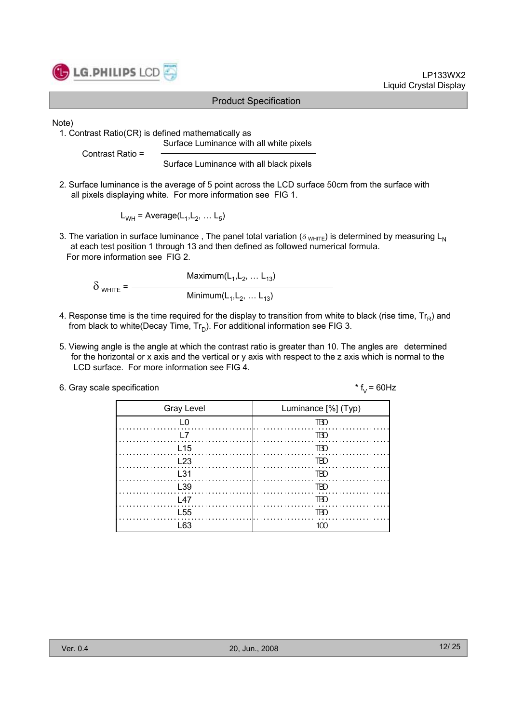

### LP133WX2 Liquid Crystal Display

### Product Specification

Note)

1. Contrast Ratio(CR) is defined mathematically as

Contrast Ratio =

Surface Luminance with all black pixels

Surface Luminance with all white pixels

2. Surface luminance is the average of 5 point across the LCD surface 50cm from the surface with all pixels displaying white. For more information see FIG 1.

 $L_{WH}$  = Average( $L_1, L_2, ... L_5$ )

3. The variation in surface luminance, The panel total variation ( $\delta_{WHITE}$ ) is determined by measuring L<sub>N</sub> at each test position 1 through 13 and then defined as followed numerical formula. For more information see FIG 2.

Maximum $(L_1, L_2, ... L_{13})$  $\delta$  <sub>WHITE</sub> =  $\frac{ }{ }$ Minimum( $L_1, L_2, ... L_{13}$ )

- 4. Response time is the time required for the display to transition from white to black (rise time,  $Tr_R$ ) and from black to white(Decay Time,  $Tr_D$ ). For additional information see FIG 3.
- 5. Viewing angle is the angle at which the contrast ratio is greater than 10. The angles are determined for the horizontal or x axis and the vertical or y axis with respect to the z axis which is normal to the LCD surface. For more information see FIG 4.

| 6. Gray scale specification | * $f_v = 60$ Hz |
|-----------------------------|-----------------|
|-----------------------------|-----------------|

| <b>Gray Level</b> | Luminance [%] (Typ) |
|-------------------|---------------------|
| L0                | TBD                 |
|                   | TBD                 |
| L <sub>15</sub>   | $\overline{ABD}$    |
| $\perp$ 23        | TBD                 |
| L <sub>31</sub>   | IBD                 |
| L39               | $\ldots \ldots$ TBD |
| l 47              | - TBD               |
| L <sub>55</sub>   | IHI)                |
| -63               |                     |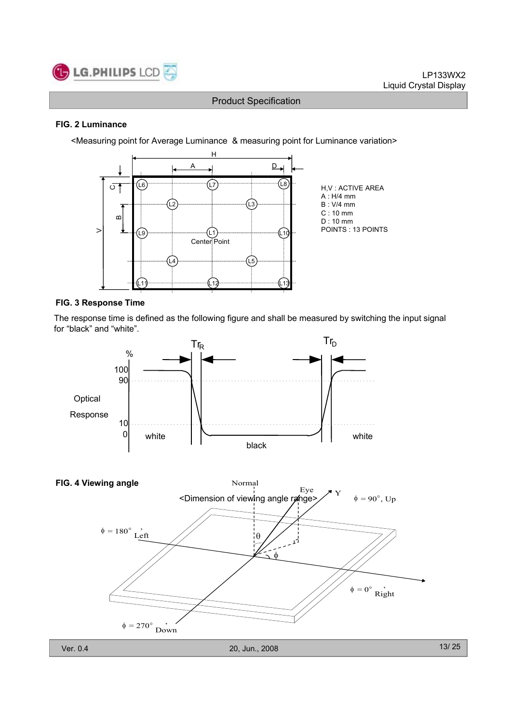

### **FIG. 2 Luminance**

<Measuring point for Average Luminance & measuring point for Luminance variation>



### **FIG. 3 Response Time**

The response time is defined as the following figure and shall be measured by switching the input signal for "black" and "white".



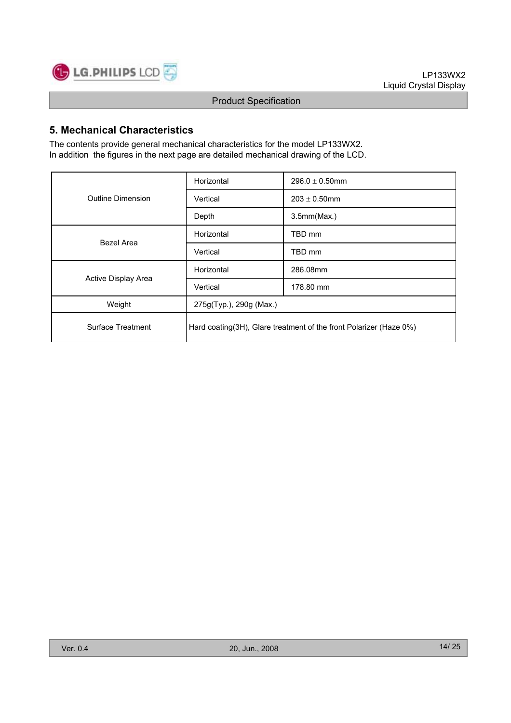

# **5. Mechanical Characteristics**

The contents provide general mechanical characteristics for the model LP133WX2. In addition the figures in the next page are detailed mechanical drawing of the LCD.

|                          | Horizontal              | $296.0 \pm 0.50$ mm                                                |  |  |  |
|--------------------------|-------------------------|--------------------------------------------------------------------|--|--|--|
| <b>Outline Dimension</b> | Vertical                | $203 \pm 0.50$ mm                                                  |  |  |  |
|                          | Depth                   | 3.5mm(Max.)                                                        |  |  |  |
| Bezel Area               | Horizontal              | TBD mm                                                             |  |  |  |
|                          | Vertical                | TBD mm                                                             |  |  |  |
|                          | Horizontal              | 286.08mm                                                           |  |  |  |
| Active Display Area      | Vertical                | 178.80 mm                                                          |  |  |  |
| Weight                   | 275g(Typ.), 290g (Max.) |                                                                    |  |  |  |
| Surface Treatment        |                         | Hard coating(3H), Glare treatment of the front Polarizer (Haze 0%) |  |  |  |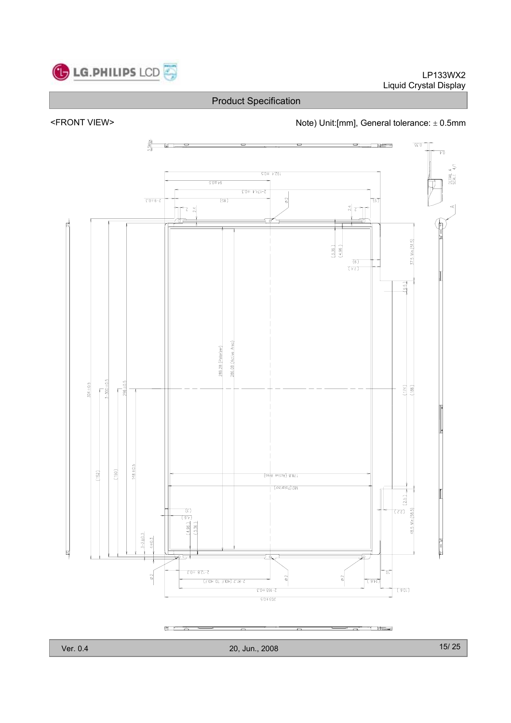

LP133WX2 Liquid Crystal Display

Product Specification

<FRONT VIEW> <parallel to the Note) Unit:[mm], General tolerance:  $\pm$  0.5mm



Ver. 0.4 20, Jun., 2008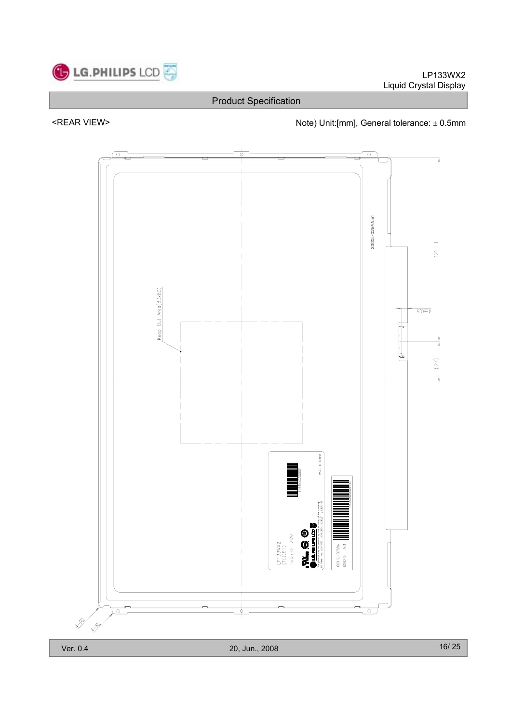

# <REAR VIEW> Note) Unit:[mm], General tolerance:  $\pm$  0.5mm

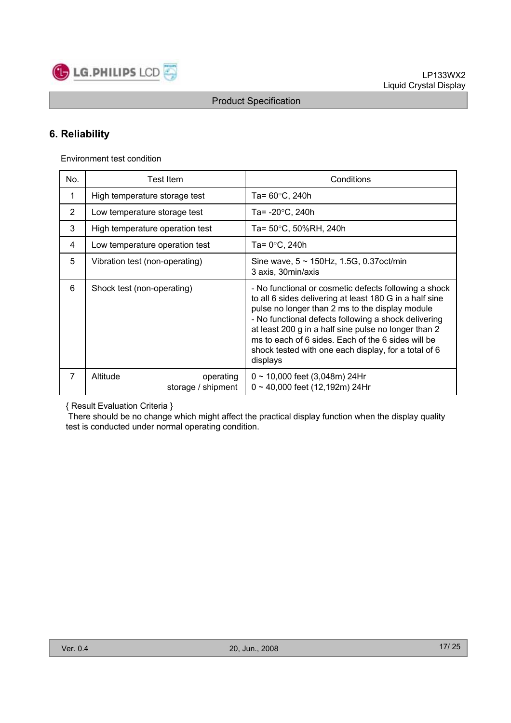

# **6. Reliability**

Environment test condition

| No.            | Test Item                                   | Conditions                                                                                                                                                                                                                                                                                                                                                                                                    |
|----------------|---------------------------------------------|---------------------------------------------------------------------------------------------------------------------------------------------------------------------------------------------------------------------------------------------------------------------------------------------------------------------------------------------------------------------------------------------------------------|
| 1              | High temperature storage test               | Ta= 60°C, 240h                                                                                                                                                                                                                                                                                                                                                                                                |
| $\overline{2}$ | Low temperature storage test                | Ta= -20°C, 240h                                                                                                                                                                                                                                                                                                                                                                                               |
| 3              | High temperature operation test             | Ta= 50°C, 50%RH, 240h                                                                                                                                                                                                                                                                                                                                                                                         |
| 4              | Low temperature operation test              | Ta= 0°C, 240h                                                                                                                                                                                                                                                                                                                                                                                                 |
| 5              | Vibration test (non-operating)              | Sine wave, $5 \sim 150$ Hz, 1.5G, 0.37oct/min<br>3 axis, 30min/axis                                                                                                                                                                                                                                                                                                                                           |
| 6              | Shock test (non-operating)                  | - No functional or cosmetic defects following a shock<br>to all 6 sides delivering at least 180 G in a half sine<br>pulse no longer than 2 ms to the display module<br>- No functional defects following a shock delivering<br>at least 200 g in a half sine pulse no longer than 2<br>ms to each of 6 sides. Each of the 6 sides will be<br>shock tested with one each display, for a total of 6<br>displays |
| $\overline{7}$ | Altitude<br>operating<br>storage / shipment | $0 \sim 10,000$ feet (3,048m) 24Hr<br>$0 \sim 40,000$ feet (12,192m) 24Hr                                                                                                                                                                                                                                                                                                                                     |

{ Result Evaluation Criteria }

There should be no change which might affect the practical display function when the display quality test is conducted under normal operating condition.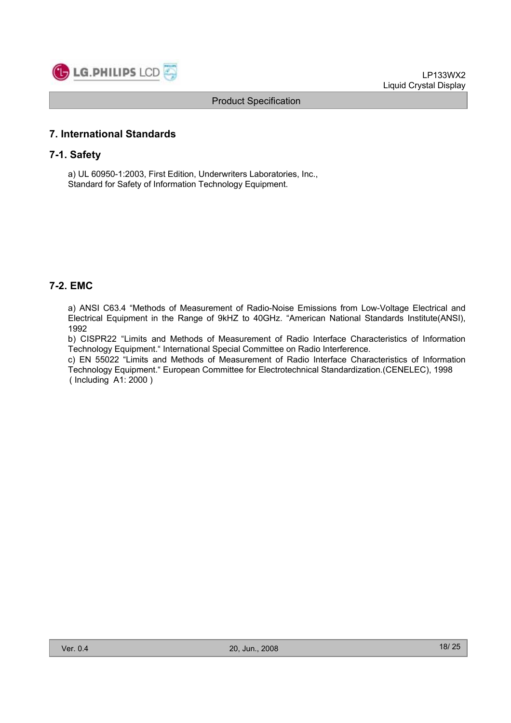

# **7. International Standards**

### **7-1. Safety**

a) UL 60950-1:2003, First Edition, Underwriters Laboratories, Inc., Standard for Safety of Information Technology Equipment.

# **7-2. EMC**

a) ANSI C63.4 "Methods of Measurement of Radio-Noise Emissions from Low-Voltage Electrical and Electrical Equipment in the Range of 9kHZ to 40GHz. "American National Standards Institute(ANSI), 1992

b) CISPR22 "Limits and Methods of Measurement of Radio Interface Characteristics of Information Technology Equipment." International Special Committee on Radio Interference.

c) EN 55022 "Limits and Methods of Measurement of Radio Interface Characteristics of Information Technology Equipment." European Committee for Electrotechnical Standardization.(CENELEC), 1998 ( Including A1: 2000 )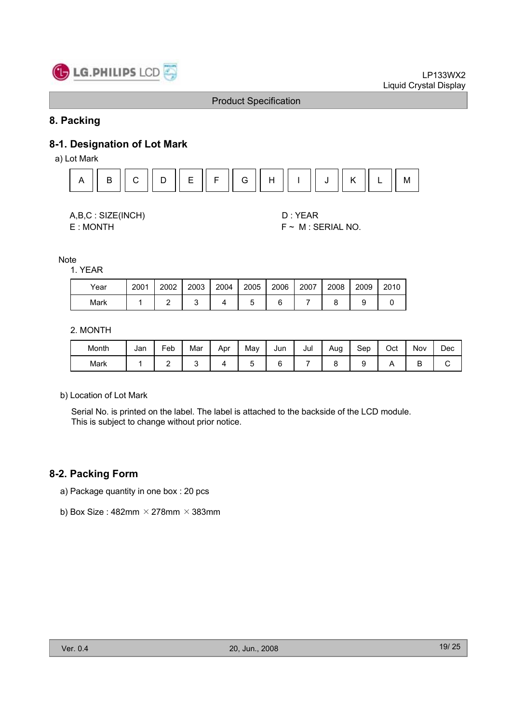

## **8. Packing**

# **8-1. Designation of Lot Mark**

a) Lot Mark



| A,B,C: SIZE(INCH) |
|-------------------|
| <b>F.MONTH</b>    |

D : YEAR E : MONTH F ~ M : SERIAL NO.

Note

1. YEAR

| Year | 2001 | 2002 | 2003 | 2004 | 2005 | 2006 | 2007 | 2008 | 2009 | 2010 |
|------|------|------|------|------|------|------|------|------|------|------|
| Mark |      |      |      |      |      |      |      |      |      |      |

2. MONTH

| Month | Jan | –<br><sup>⊏</sup> eb | Mar | Apr | May | Jun | Jul | Aug | Sep | Oct | Nov | Dec |
|-------|-----|----------------------|-----|-----|-----|-----|-----|-----|-----|-----|-----|-----|
| Mark  |     | -                    |     |     |     |     |     |     |     |     | ∽   |     |

b) Location of Lot Mark

Serial No. is printed on the label. The label is attached to the backside of the LCD module. This is subject to change without prior notice.

### **8-2. Packing Form**

- a) Package quantity in one box : 20 pcs
- b) Box Size : 482mm  $\times$  278mm  $\times$  383mm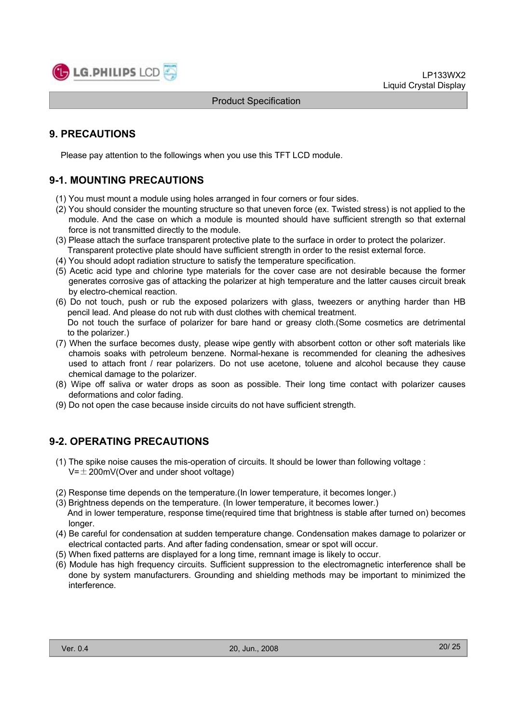

# **9. PRECAUTIONS**

Please pay attention to the followings when you use this TFT LCD module.

# **9-1. MOUNTING PRECAUTIONS**

- (1) You must mount a module using holes arranged in four corners or four sides.
- (2) You should consider the mounting structure so that uneven force (ex. Twisted stress) is not applied to the module. And the case on which a module is mounted should have sufficient strength so that external force is not transmitted directly to the module.
- (3) Please attach the surface transparent protective plate to the surface in order to protect the polarizer. Transparent protective plate should have sufficient strength in order to the resist external force.
- (4) You should adopt radiation structure to satisfy the temperature specification.
- (5) Acetic acid type and chlorine type materials for the cover case are not desirable because the former generates corrosive gas of attacking the polarizer at high temperature and the latter causes circuit break by electro-chemical reaction.
- (6) Do not touch, push or rub the exposed polarizers with glass, tweezers or anything harder than HB pencil lead. And please do not rub with dust clothes with chemical treatment. Do not touch the surface of polarizer for bare hand or greasy cloth.(Some cosmetics are detrimental to the polarizer.)
- (7) When the surface becomes dusty, please wipe gently with absorbent cotton or other soft materials like chamois soaks with petroleum benzene. Normal-hexane is recommended for cleaning the adhesives used to attach front / rear polarizers. Do not use acetone, toluene and alcohol because they cause chemical damage to the polarizer.
- (8) Wipe off saliva or water drops as soon as possible. Their long time contact with polarizer causes deformations and color fading.
- (9) Do not open the case because inside circuits do not have sufficient strength.

# **9-2. OPERATING PRECAUTIONS**

- (1) The spike noise causes the mis-operation of circuits. It should be lower than following voltage :  $V=\pm 200$ mV(Over and under shoot voltage)
- (2) Response time depends on the temperature.(In lower temperature, it becomes longer.)
- (3) Brightness depends on the temperature. (In lower temperature, it becomes lower.) And in lower temperature, response time(required time that brightness is stable after turned on) becomes longer.
- (4) Be careful for condensation at sudden temperature change. Condensation makes damage to polarizer or electrical contacted parts. And after fading condensation, smear or spot will occur.
- (5) When fixed patterns are displayed for a long time, remnant image is likely to occur.
- (6) Module has high frequency circuits. Sufficient suppression to the electromagnetic interference shall be done by system manufacturers. Grounding and shielding methods may be important to minimized the interference.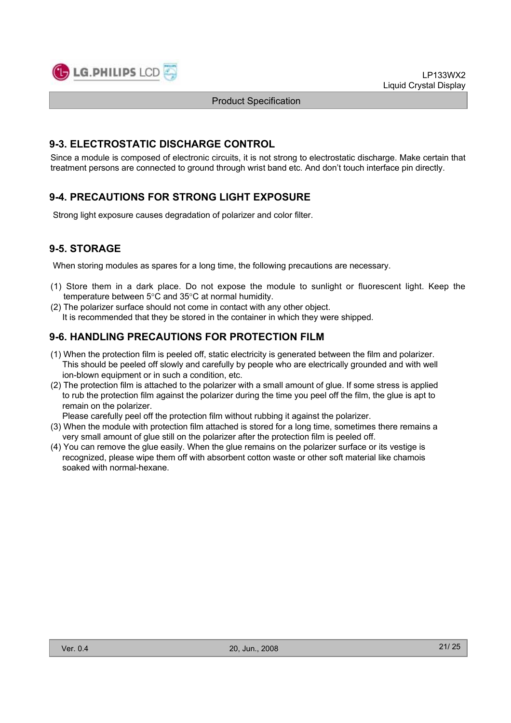

LP133WX2 Liquid Crystal Display

Product Specification

# **9-3. ELECTROSTATIC DISCHARGE CONTROL**

Since a module is composed of electronic circuits, it is not strong to electrostatic discharge. Make certain that treatment persons are connected to ground through wrist band etc. And don't touch interface pin directly.

# **9-4. PRECAUTIONS FOR STRONG LIGHT EXPOSURE**

Strong light exposure causes degradation of polarizer and color filter.

# **9-5. STORAGE**

When storing modules as spares for a long time, the following precautions are necessary.

- (1) Store them in a dark place. Do not expose the module to sunlight or fluorescent light. Keep the temperature between  $5^{\circ}$ C and  $35^{\circ}$ C at normal humidity.
- (2) The polarizer surface should not come in contact with any other object. It is recommended that they be stored in the container in which they were shipped.

# **9-6. HANDLING PRECAUTIONS FOR PROTECTION FILM**

- (1) When the protection film is peeled off, static electricity is generated between the film and polarizer. This should be peeled off slowly and carefully by people who are electrically grounded and with well ion-blown equipment or in such a condition, etc.
- (2) The protection film is attached to the polarizer with a small amount of glue. If some stress is applied to rub the protection film against the polarizer during the time you peel off the film, the glue is apt to remain on the polarizer.

Please carefully peel off the protection film without rubbing it against the polarizer.

- (3) When the module with protection film attached is stored for a long time, sometimes there remains a very small amount of glue still on the polarizer after the protection film is peeled off.
- (4) You can remove the glue easily. When the glue remains on the polarizer surface or its vestige is recognized, please wipe them off with absorbent cotton waste or other soft material like chamois soaked with normal-hexane.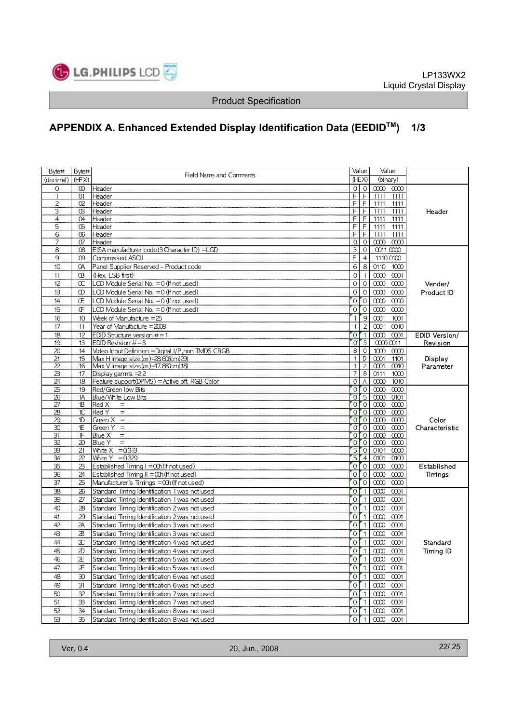

# **APPENDIX A. Enhanced Extended Display Identification Data (EEDIDTM) 1/3**

| Byte#          | Byte#    | Field Name and Comments                             |                | Value            | Value                                          |                      |
|----------------|----------|-----------------------------------------------------|----------------|------------------|------------------------------------------------|----------------------|
| (decimal)      | (HEX)    |                                                     |                | (HEX)            | (binary)                                       |                      |
| $\circ$        | $\infty$ | Header                                              |                | 0 <sup>1</sup>   | $\infty$ $\infty$                              |                      |
| $\mathbf{1}$   | 01       | Header                                              |                | $F$ $F$          | 1111<br>1111                                   |                      |
| $\overline{c}$ | Œ.       | Header                                              |                | $F$ $F$          | 1111<br>1111                                   |                      |
| 3              | œ        | Header                                              |                | $F$ $F$          | 1111<br>1111                                   | Header               |
| 4              | O4       | Header                                              |                | F F              | 1111<br>1111                                   |                      |
| 5              | Œ        | Header                                              | F              | ΤF               | 1111<br>1111                                   |                      |
| 6              | Œ        | Header                                              | F              | F                | 1111<br>1111                                   |                      |
| 7              | 07       | Header                                              | $\circ$        | $\overline{0}$   | $\infty$ $\infty$                              |                      |
| 8              | œ        | EISA manufacturer code (3 Character ID) = LGD       | 3 <sup>1</sup> | $\mathbf 0$      | 0011 0000                                      |                      |
| 9              | œ        | Compressed ASCII                                    | E              | $\overline{4}$   | 1110 0100                                      |                      |
| 10             | OA       | Panel Supplier Reserved - Product code              | $6 \mid$       | 8                | 0110<br>1000                                   |                      |
| 11             | Œ        | (Hex, LSB first)                                    | $\circ$        | $\overline{1}$   | 0000 0001                                      |                      |
| 12             | $\alpha$ | LCD Module Serial No. = 0 (If not used)             | $\circ$        | $\circ$          | $\infty$ $\infty$                              | Vender/              |
| 13             | $\infty$ | LCD Module Serial No. = 0 (If not used)             | $\circ$        | $\mathbf{0}$     | $\infty$<br>0000                               | <b>Product ID</b>    |
| 14             | Œ        | LCD Module Serial No. = 0 (If not used)             |                | 0 <sup>1</sup>   | $\infty$ $\infty$                              |                      |
| 15             | Œ        | LCD Module Serial No. = 0 (If not used)             |                | 0 <sup>1</sup>   | 0000<br>0000                                   |                      |
| 16             | 10       | Week of Manufacture $=25$                           | 1 <sup>1</sup> | $^{\circ}$ 9     | 0001<br>1001                                   |                      |
| 17             | 11       | Year of Manufacture = 2008                          | 1 I            | $\overline{c}$   | 0001<br>0010                                   |                      |
| 18             | 12       | EDID Structure version $#=1$                        |                | 0 <sup>1</sup>   | 0000<br>0001                                   | <b>EDID Version/</b> |
| 19             | 13       | EDID Revision $#=3$                                 |                | 0 <sup>2</sup>   | 0000 0011                                      | Revision             |
| 20             | 14       | Video Input Definition = Digital I/P, non TMDS CRGB |                | $8$ 0            | 1000<br>$\infty$                               |                      |
| 21             | 15       | $Max$ Himage size $(c_m)$ =28608 $cm(29)$           |                | $1$ D            | 0001<br>1101                                   | Display              |
| 22             | 16       | Max V image size (cm)=17.880cm(18)                  | 1 <sup>1</sup> | $\overline{c}$   | 0001<br>0010                                   | Parameter            |
| 23             | 17       | Display gamma $=22$                                 | $\overline{7}$ | 8                | 0111<br>1000                                   |                      |
| 24             | 18       | Feature support(DPMS) = Active off, RGB Color       |                | $0$ A            | 0000<br>1010                                   |                      |
| 25             | 19       | Red/Green low Bits                                  |                | 0 <sup>1</sup>   | 0000<br>0000                                   |                      |
| 26             | 1A       | Blue/White Low Bits                                 |                | 0 <sub>5</sub>   | 0000<br>0101                                   |                      |
| 27             | 1B       | Red X<br>$\equiv$                                   |                | 0 <sup>0</sup>   | 0000<br>0000                                   |                      |
| 28             | 1C       | Red Y<br>$\quad \  \  =$                            |                | 0 <sup>1</sup>   | 0000<br>0000                                   |                      |
| 29             | 1D       | Green $X =$                                         |                | 0 <sub>0</sub>   | 0000<br>$\infty$                               | Color                |
| 30             | Έ        | Green $Y =$                                         |                | $0$ $0$          | 0000<br>$\infty$                               | Characteristic       |
| 31             | ſF       | Blue X<br>$\equiv$                                  |                | $0$ 0            | $\infty$ $\infty$                              |                      |
| 32             | 20       | Blue Y<br>$\equiv$                                  |                | 0 <sup>10</sup>  | $\overline{000}$ $\overline{000}$              |                      |
| 33             | 21       | White $X = 0.313$                                   |                | 50               | 0101<br>$\infty$                               |                      |
| 34             | 22       | White $Y = 0.329$                                   |                | 5 <sup>7</sup> 4 | 0101<br>0100                                   |                      |
| 35             | 23       | Established Timing $I = \alpha h$ (If not used)     |                | 0 <sup>10</sup>  | 0000<br>0000                                   | Established          |
| 36             | 24       | Established Timing $II = O(1)$ (If not used)        |                | 0 <sup>1</sup>   | 0000<br>0000                                   | Timngs               |
| 37             | 25       | Manufacturer's Timings = 00h (If not used)          | $\circ$        | $^{\circ}$ 0     | 0000<br>0000                                   |                      |
| 38             | 26       | Standard Timing Identification 1 was not used       |                | 0 <sup>r</sup> 1 | $\infty$<br>0001                               |                      |
| 39             | 27       | Standard Timing Identification 1 was not used       |                | 0 <sup>1</sup>   | 0000 0001                                      |                      |
| 40             | 28       | Standard Timing Identification 2 was not used       |                | 0 <sup>1</sup>   | 00000001                                       |                      |
| 41             | 29       | Standard Timing Identification 2 was not used       |                | 0 <sup>1</sup>   | 0000<br>0001                                   |                      |
| 42             | 2A       | Standard Timing Identification 3 was not used       |                | 0 <sup>1</sup> 1 | 0000 0001                                      |                      |
| 43             | B        | Standard Timing Identification 3 was not used       |                | 0 <sup>1</sup>   | 0000 0001                                      |                      |
| 44             | x        | Standard Timing Identification 4 was not used       |                | 0 <sup>1</sup>   | 0000 0001                                      | Standard             |
| 45             | D        | Standard Timing Identification 4 was not used       |                | $0$ [1]          | 00000001                                       | Timing ID            |
| 46             | Æ        | Standard Timing Identification 5 was not used       |                | 0 <sup>1</sup>   | $0000$ $0001$                                  |                      |
| 47             | F        | Standard Timing Identification 5 was not used       |                | $0$ [1           | $0000$ $0001$                                  |                      |
| 48             | 30       | Standard Timing Identification 6 was not used       |                | $0\vert 1$       | $0000$ $0001$                                  |                      |
|                |          |                                                     |                |                  |                                                |                      |
| 49             | 31       | Standard Timing Identification 6 was not used       |                | 011              | 0000 0001                                      |                      |
| 50             | 32       | Standard Timing Identification 7 was not used       |                | 0 <sup>1</sup>   | 0000 0001                                      |                      |
| 51             | 33       | Standard Timing Identification 7 was not used       |                | 0 <sup>1</sup>   | $0000$ $0001$                                  |                      |
| 52             | 34       | Standard Timing Identification 8 was not used       |                | $0$ [1           | $0000$ $0001$                                  |                      |
| 53             | 35       | Standard Timing Identification 8 was not used       | $\circ$        | $\mathbf{1}$     | $\overline{\alpha}$ $\alpha$ $\alpha$ $\alpha$ |                      |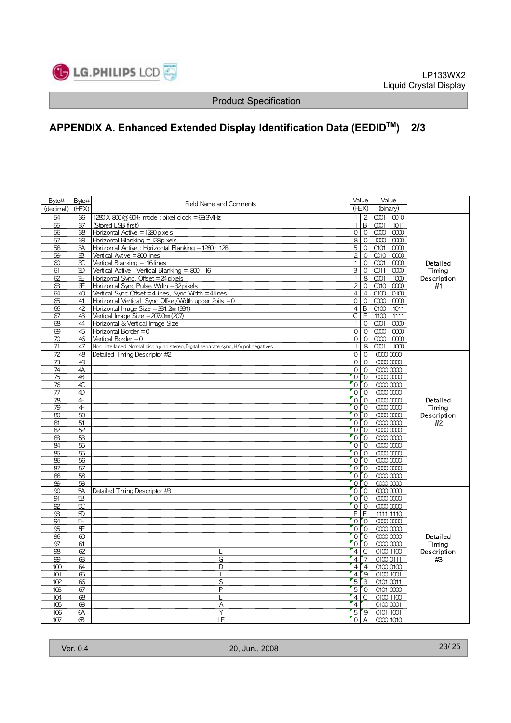

# **APPENDIX A. Enhanced Extended Display Identification Data (EEDIDTM) 2/3**

| (HEX)<br>(HEX)<br>(binary)<br>(decimal)<br>0001<br>54<br>$1280$ X $800$ @ 60Hz mode: pixel clock = 69.3MHz<br>$\overline{2}$<br>36<br>1 I<br>0010<br>$\overline{1}$ $\overline{B}$<br>55<br>0001<br>37<br>(Stored LSB first)<br>1011<br>$\overline{O}$<br>56<br>38<br>Horizontal Active = 1280 pixels<br>$\mathbf 0$<br>$\infty$ $\infty$<br>8 <sup>1</sup><br>$\mathbf 0$<br>10000000<br>57<br>39<br>Horizontal Blanking = 128 pixels<br>$\overline{5}$<br>$\overline{0}$<br>58<br>ЗΑ<br>Horizontal Active: Horizontal Blanking = 1280: 128<br>0101<br>$\infty$<br>$\overline{2}$<br>$\mathsf O$<br>59<br>ЭB<br>0010 0000<br>Vertical Avtive = 800 lines<br>ЭC<br>Vertical Blanking = 16lines<br>$\mathbf 0$<br>0001<br>$\infty$<br>1 <sup>1</sup><br>0000<br>Detailed<br>$\overline{3}$<br>ЭD<br>Vertical Active: Vertical Blanking = 800: 16<br>$\mathbf 0$<br>0011<br>Timina<br>61<br>0000<br>8<br>0001<br>Œ<br>Horizontal Sync. Offset $=$ 24 pixels<br>1 <sup>1</sup><br>1000<br>Description<br>62<br>20<br>Horizontal Sync Pulse Wdth = 32 pixels<br>0010<br>0000<br>#1<br>ഒ<br>F<br>Vertical Sync Offset = 4 lines, Sync Wdth = 4 lines<br>$4 \mid 4$<br>64<br>40<br>0100 0100<br>$\circ$<br>$\circ$<br>0000<br>$\infty$<br>க<br>41<br>Horizontal Vertical Sync Offset/Width upper $2$ bits $=$ 0<br>$\overline{4}$ $\overline{B}$<br>42<br>Horizontal Image Size = 331. 2mm (331)<br>0100<br>1011<br>66<br>F<br>$\overline{\mathsf{C}}$<br>43<br>Vertical Image Size = $207.0$ mm $(207)$<br>1100<br>67<br>1111<br>$\mathbf 0$<br>44<br>Horizontal & Vertical Image Size<br>0001<br>0000<br>68<br>1 <sup>1</sup><br>45<br>Horizontal Border $=0$<br>$\circ$<br>$\mathbf 0$<br>$\infty$ $\infty$<br>$\Theta$<br>46<br>0 0 <br>$\infty$ $\infty$<br>70<br>Vertical Border $=0$<br>1 <sup>1</sup><br>$8 \mid$<br>0001<br>71<br>47<br>Non-interlaced, Normal display, no stereo, Digital separate sync, H/V pol negatives<br>1000<br>0 0 <br>72<br>48<br>Detailed Timing Descriptor #2<br>00000000<br>$\circ$ l<br>$\circ$<br>0000<br>73<br>49<br>$\circ$<br>4A<br>$\circ$ l<br>0000<br>74<br>$\overline{O}$ $\overline{O}$<br>$\overline{4}$ B<br>$0000$ $0000$<br>75<br>4C<br>0 <sup>1</sup><br>76<br>00000000<br>4D<br>$0$ $0$<br>77<br>00000000<br>Æ<br>$0$ 0<br>00000000<br>78<br>Detailed<br>$0$ 0<br>4<br>0000<br>Timing<br>79<br>50<br>000<br>0000<br>80<br>Description<br>$0$ $ 0 $<br>51<br>00000000<br>#2<br>81<br>52<br>$0$ 0<br>00000000<br>82<br>$0$ $ 0 $<br>53<br>0000<br>83<br>00<br>84<br>55<br>0000<br>0 <sup>1</sup> 0 <sup>1</sup><br>55<br>00000000<br>க<br>$0$ $ 0 $<br>56<br>0000<br>86<br>$0$ 0<br>87<br>57<br>00000000<br>$0$ $0$<br>58<br>0000<br>88<br>$01$ $01$<br>59<br>0000<br>89<br><b>5A</b><br>0 <sup>r</sup><br>$\infty$<br>Detailed Timing Descriptor #3<br>00000000<br>$0$ $0$<br>0000<br>91<br>$\mathbf{B}$<br>${\mathfrak{P}}$<br>5C<br>0 <sup>1</sup> 0 <sup>1</sup><br>0000<br>$F$ $E$<br>$\mathfrak{D}$<br>$\mathfrak{B}$<br>1111 1110<br>$0$ 0<br>94<br>Œ<br>00000000<br>$0$ 0<br>95<br>乐<br>0000<br>$0$ $0$<br>96<br>$\infty$<br>00000000<br>Detailed<br>$\overline{O}$ $\overline{O}$<br>0000<br>97<br>61<br>Timing<br>4 <sup>C</sup><br>62<br>0100 1100<br>Description<br>98<br>L<br>$\overline{4}$<br>$\sqrt{7}$<br>G<br>0100 0111<br>99<br>ශ<br>#3<br>$\overline{4}$<br>$\overline{4}$<br>D<br>0100 0100<br>100<br>64<br>$\sqrt{9}$<br>$\overline{4}$<br>க<br>0100 1001<br>101<br>$\mathbf{I}$<br>$\overline{5}$<br>$\sqrt{3}$<br>66<br>S<br>0101 0011<br>102<br>50<br>P<br>0101 0000<br>10B<br>67<br>$\overline{\mathsf{C}}$<br>0100 1100<br>104<br>68<br>4 <sup>1</sup><br>$\overline{4}$<br>r.<br>105<br>0100 0001<br>69<br>A<br>$\overline{5}$<br>Υ<br>$^{\prime}$ 9<br>106<br>6A<br>0101 1001<br>I F<br>Œ.<br>$\Omega$<br>$\mathsf{A}$<br>0000 1010<br>107 | Byte# | Byte# | Field Name and Comments | Value | Value |  |
|----------------------------------------------------------------------------------------------------------------------------------------------------------------------------------------------------------------------------------------------------------------------------------------------------------------------------------------------------------------------------------------------------------------------------------------------------------------------------------------------------------------------------------------------------------------------------------------------------------------------------------------------------------------------------------------------------------------------------------------------------------------------------------------------------------------------------------------------------------------------------------------------------------------------------------------------------------------------------------------------------------------------------------------------------------------------------------------------------------------------------------------------------------------------------------------------------------------------------------------------------------------------------------------------------------------------------------------------------------------------------------------------------------------------------------------------------------------------------------------------------------------------------------------------------------------------------------------------------------------------------------------------------------------------------------------------------------------------------------------------------------------------------------------------------------------------------------------------------------------------------------------------------------------------------------------------------------------------------------------------------------------------------------------------------------------------------------------------------------------------------------------------------------------------------------------------------------------------------------------------------------------------------------------------------------------------------------------------------------------------------------------------------------------------------------------------------------------------------------------------------------------------------------------------------------------------------------------------------------------------------------------------------------------------------------------------------------------------------------------------------------------------------------------------------------------------------------------------------------------------------------------------------------------------------------------------------------------------------------------------------------------------------------------------------------------------------------------------------------------------------------------------------------------------------------------------------------------------------------------------------------------------------------------------------------------------------------------------------------------------------------------------------------------------------------------------------------------------------------------------------------------------------------------------------------------------------------------------------------------------------------------------------------------------------------------------------------------------------------------------------------------------------------------------------------------------|-------|-------|-------------------------|-------|-------|--|
|                                                                                                                                                                                                                                                                                                                                                                                                                                                                                                                                                                                                                                                                                                                                                                                                                                                                                                                                                                                                                                                                                                                                                                                                                                                                                                                                                                                                                                                                                                                                                                                                                                                                                                                                                                                                                                                                                                                                                                                                                                                                                                                                                                                                                                                                                                                                                                                                                                                                                                                                                                                                                                                                                                                                                                                                                                                                                                                                                                                                                                                                                                                                                                                                                                                                                                                                                                                                                                                                                                                                                                                                                                                                                                                                                                                                                      |       |       |                         |       |       |  |
|                                                                                                                                                                                                                                                                                                                                                                                                                                                                                                                                                                                                                                                                                                                                                                                                                                                                                                                                                                                                                                                                                                                                                                                                                                                                                                                                                                                                                                                                                                                                                                                                                                                                                                                                                                                                                                                                                                                                                                                                                                                                                                                                                                                                                                                                                                                                                                                                                                                                                                                                                                                                                                                                                                                                                                                                                                                                                                                                                                                                                                                                                                                                                                                                                                                                                                                                                                                                                                                                                                                                                                                                                                                                                                                                                                                                                      |       |       |                         |       |       |  |
|                                                                                                                                                                                                                                                                                                                                                                                                                                                                                                                                                                                                                                                                                                                                                                                                                                                                                                                                                                                                                                                                                                                                                                                                                                                                                                                                                                                                                                                                                                                                                                                                                                                                                                                                                                                                                                                                                                                                                                                                                                                                                                                                                                                                                                                                                                                                                                                                                                                                                                                                                                                                                                                                                                                                                                                                                                                                                                                                                                                                                                                                                                                                                                                                                                                                                                                                                                                                                                                                                                                                                                                                                                                                                                                                                                                                                      |       |       |                         |       |       |  |
|                                                                                                                                                                                                                                                                                                                                                                                                                                                                                                                                                                                                                                                                                                                                                                                                                                                                                                                                                                                                                                                                                                                                                                                                                                                                                                                                                                                                                                                                                                                                                                                                                                                                                                                                                                                                                                                                                                                                                                                                                                                                                                                                                                                                                                                                                                                                                                                                                                                                                                                                                                                                                                                                                                                                                                                                                                                                                                                                                                                                                                                                                                                                                                                                                                                                                                                                                                                                                                                                                                                                                                                                                                                                                                                                                                                                                      |       |       |                         |       |       |  |
|                                                                                                                                                                                                                                                                                                                                                                                                                                                                                                                                                                                                                                                                                                                                                                                                                                                                                                                                                                                                                                                                                                                                                                                                                                                                                                                                                                                                                                                                                                                                                                                                                                                                                                                                                                                                                                                                                                                                                                                                                                                                                                                                                                                                                                                                                                                                                                                                                                                                                                                                                                                                                                                                                                                                                                                                                                                                                                                                                                                                                                                                                                                                                                                                                                                                                                                                                                                                                                                                                                                                                                                                                                                                                                                                                                                                                      |       |       |                         |       |       |  |
|                                                                                                                                                                                                                                                                                                                                                                                                                                                                                                                                                                                                                                                                                                                                                                                                                                                                                                                                                                                                                                                                                                                                                                                                                                                                                                                                                                                                                                                                                                                                                                                                                                                                                                                                                                                                                                                                                                                                                                                                                                                                                                                                                                                                                                                                                                                                                                                                                                                                                                                                                                                                                                                                                                                                                                                                                                                                                                                                                                                                                                                                                                                                                                                                                                                                                                                                                                                                                                                                                                                                                                                                                                                                                                                                                                                                                      |       |       |                         |       |       |  |
|                                                                                                                                                                                                                                                                                                                                                                                                                                                                                                                                                                                                                                                                                                                                                                                                                                                                                                                                                                                                                                                                                                                                                                                                                                                                                                                                                                                                                                                                                                                                                                                                                                                                                                                                                                                                                                                                                                                                                                                                                                                                                                                                                                                                                                                                                                                                                                                                                                                                                                                                                                                                                                                                                                                                                                                                                                                                                                                                                                                                                                                                                                                                                                                                                                                                                                                                                                                                                                                                                                                                                                                                                                                                                                                                                                                                                      |       |       |                         |       |       |  |
|                                                                                                                                                                                                                                                                                                                                                                                                                                                                                                                                                                                                                                                                                                                                                                                                                                                                                                                                                                                                                                                                                                                                                                                                                                                                                                                                                                                                                                                                                                                                                                                                                                                                                                                                                                                                                                                                                                                                                                                                                                                                                                                                                                                                                                                                                                                                                                                                                                                                                                                                                                                                                                                                                                                                                                                                                                                                                                                                                                                                                                                                                                                                                                                                                                                                                                                                                                                                                                                                                                                                                                                                                                                                                                                                                                                                                      |       |       |                         |       |       |  |
|                                                                                                                                                                                                                                                                                                                                                                                                                                                                                                                                                                                                                                                                                                                                                                                                                                                                                                                                                                                                                                                                                                                                                                                                                                                                                                                                                                                                                                                                                                                                                                                                                                                                                                                                                                                                                                                                                                                                                                                                                                                                                                                                                                                                                                                                                                                                                                                                                                                                                                                                                                                                                                                                                                                                                                                                                                                                                                                                                                                                                                                                                                                                                                                                                                                                                                                                                                                                                                                                                                                                                                                                                                                                                                                                                                                                                      |       |       |                         |       |       |  |
|                                                                                                                                                                                                                                                                                                                                                                                                                                                                                                                                                                                                                                                                                                                                                                                                                                                                                                                                                                                                                                                                                                                                                                                                                                                                                                                                                                                                                                                                                                                                                                                                                                                                                                                                                                                                                                                                                                                                                                                                                                                                                                                                                                                                                                                                                                                                                                                                                                                                                                                                                                                                                                                                                                                                                                                                                                                                                                                                                                                                                                                                                                                                                                                                                                                                                                                                                                                                                                                                                                                                                                                                                                                                                                                                                                                                                      |       |       |                         |       |       |  |
|                                                                                                                                                                                                                                                                                                                                                                                                                                                                                                                                                                                                                                                                                                                                                                                                                                                                                                                                                                                                                                                                                                                                                                                                                                                                                                                                                                                                                                                                                                                                                                                                                                                                                                                                                                                                                                                                                                                                                                                                                                                                                                                                                                                                                                                                                                                                                                                                                                                                                                                                                                                                                                                                                                                                                                                                                                                                                                                                                                                                                                                                                                                                                                                                                                                                                                                                                                                                                                                                                                                                                                                                                                                                                                                                                                                                                      |       |       |                         |       |       |  |
|                                                                                                                                                                                                                                                                                                                                                                                                                                                                                                                                                                                                                                                                                                                                                                                                                                                                                                                                                                                                                                                                                                                                                                                                                                                                                                                                                                                                                                                                                                                                                                                                                                                                                                                                                                                                                                                                                                                                                                                                                                                                                                                                                                                                                                                                                                                                                                                                                                                                                                                                                                                                                                                                                                                                                                                                                                                                                                                                                                                                                                                                                                                                                                                                                                                                                                                                                                                                                                                                                                                                                                                                                                                                                                                                                                                                                      |       |       |                         |       |       |  |
|                                                                                                                                                                                                                                                                                                                                                                                                                                                                                                                                                                                                                                                                                                                                                                                                                                                                                                                                                                                                                                                                                                                                                                                                                                                                                                                                                                                                                                                                                                                                                                                                                                                                                                                                                                                                                                                                                                                                                                                                                                                                                                                                                                                                                                                                                                                                                                                                                                                                                                                                                                                                                                                                                                                                                                                                                                                                                                                                                                                                                                                                                                                                                                                                                                                                                                                                                                                                                                                                                                                                                                                                                                                                                                                                                                                                                      |       |       |                         |       |       |  |
|                                                                                                                                                                                                                                                                                                                                                                                                                                                                                                                                                                                                                                                                                                                                                                                                                                                                                                                                                                                                                                                                                                                                                                                                                                                                                                                                                                                                                                                                                                                                                                                                                                                                                                                                                                                                                                                                                                                                                                                                                                                                                                                                                                                                                                                                                                                                                                                                                                                                                                                                                                                                                                                                                                                                                                                                                                                                                                                                                                                                                                                                                                                                                                                                                                                                                                                                                                                                                                                                                                                                                                                                                                                                                                                                                                                                                      |       |       |                         |       |       |  |
|                                                                                                                                                                                                                                                                                                                                                                                                                                                                                                                                                                                                                                                                                                                                                                                                                                                                                                                                                                                                                                                                                                                                                                                                                                                                                                                                                                                                                                                                                                                                                                                                                                                                                                                                                                                                                                                                                                                                                                                                                                                                                                                                                                                                                                                                                                                                                                                                                                                                                                                                                                                                                                                                                                                                                                                                                                                                                                                                                                                                                                                                                                                                                                                                                                                                                                                                                                                                                                                                                                                                                                                                                                                                                                                                                                                                                      |       |       |                         |       |       |  |
|                                                                                                                                                                                                                                                                                                                                                                                                                                                                                                                                                                                                                                                                                                                                                                                                                                                                                                                                                                                                                                                                                                                                                                                                                                                                                                                                                                                                                                                                                                                                                                                                                                                                                                                                                                                                                                                                                                                                                                                                                                                                                                                                                                                                                                                                                                                                                                                                                                                                                                                                                                                                                                                                                                                                                                                                                                                                                                                                                                                                                                                                                                                                                                                                                                                                                                                                                                                                                                                                                                                                                                                                                                                                                                                                                                                                                      |       |       |                         |       |       |  |
|                                                                                                                                                                                                                                                                                                                                                                                                                                                                                                                                                                                                                                                                                                                                                                                                                                                                                                                                                                                                                                                                                                                                                                                                                                                                                                                                                                                                                                                                                                                                                                                                                                                                                                                                                                                                                                                                                                                                                                                                                                                                                                                                                                                                                                                                                                                                                                                                                                                                                                                                                                                                                                                                                                                                                                                                                                                                                                                                                                                                                                                                                                                                                                                                                                                                                                                                                                                                                                                                                                                                                                                                                                                                                                                                                                                                                      |       |       |                         |       |       |  |
|                                                                                                                                                                                                                                                                                                                                                                                                                                                                                                                                                                                                                                                                                                                                                                                                                                                                                                                                                                                                                                                                                                                                                                                                                                                                                                                                                                                                                                                                                                                                                                                                                                                                                                                                                                                                                                                                                                                                                                                                                                                                                                                                                                                                                                                                                                                                                                                                                                                                                                                                                                                                                                                                                                                                                                                                                                                                                                                                                                                                                                                                                                                                                                                                                                                                                                                                                                                                                                                                                                                                                                                                                                                                                                                                                                                                                      |       |       |                         |       |       |  |
|                                                                                                                                                                                                                                                                                                                                                                                                                                                                                                                                                                                                                                                                                                                                                                                                                                                                                                                                                                                                                                                                                                                                                                                                                                                                                                                                                                                                                                                                                                                                                                                                                                                                                                                                                                                                                                                                                                                                                                                                                                                                                                                                                                                                                                                                                                                                                                                                                                                                                                                                                                                                                                                                                                                                                                                                                                                                                                                                                                                                                                                                                                                                                                                                                                                                                                                                                                                                                                                                                                                                                                                                                                                                                                                                                                                                                      |       |       |                         |       |       |  |
|                                                                                                                                                                                                                                                                                                                                                                                                                                                                                                                                                                                                                                                                                                                                                                                                                                                                                                                                                                                                                                                                                                                                                                                                                                                                                                                                                                                                                                                                                                                                                                                                                                                                                                                                                                                                                                                                                                                                                                                                                                                                                                                                                                                                                                                                                                                                                                                                                                                                                                                                                                                                                                                                                                                                                                                                                                                                                                                                                                                                                                                                                                                                                                                                                                                                                                                                                                                                                                                                                                                                                                                                                                                                                                                                                                                                                      |       |       |                         |       |       |  |
|                                                                                                                                                                                                                                                                                                                                                                                                                                                                                                                                                                                                                                                                                                                                                                                                                                                                                                                                                                                                                                                                                                                                                                                                                                                                                                                                                                                                                                                                                                                                                                                                                                                                                                                                                                                                                                                                                                                                                                                                                                                                                                                                                                                                                                                                                                                                                                                                                                                                                                                                                                                                                                                                                                                                                                                                                                                                                                                                                                                                                                                                                                                                                                                                                                                                                                                                                                                                                                                                                                                                                                                                                                                                                                                                                                                                                      |       |       |                         |       |       |  |
|                                                                                                                                                                                                                                                                                                                                                                                                                                                                                                                                                                                                                                                                                                                                                                                                                                                                                                                                                                                                                                                                                                                                                                                                                                                                                                                                                                                                                                                                                                                                                                                                                                                                                                                                                                                                                                                                                                                                                                                                                                                                                                                                                                                                                                                                                                                                                                                                                                                                                                                                                                                                                                                                                                                                                                                                                                                                                                                                                                                                                                                                                                                                                                                                                                                                                                                                                                                                                                                                                                                                                                                                                                                                                                                                                                                                                      |       |       |                         |       |       |  |
|                                                                                                                                                                                                                                                                                                                                                                                                                                                                                                                                                                                                                                                                                                                                                                                                                                                                                                                                                                                                                                                                                                                                                                                                                                                                                                                                                                                                                                                                                                                                                                                                                                                                                                                                                                                                                                                                                                                                                                                                                                                                                                                                                                                                                                                                                                                                                                                                                                                                                                                                                                                                                                                                                                                                                                                                                                                                                                                                                                                                                                                                                                                                                                                                                                                                                                                                                                                                                                                                                                                                                                                                                                                                                                                                                                                                                      |       |       |                         |       |       |  |
|                                                                                                                                                                                                                                                                                                                                                                                                                                                                                                                                                                                                                                                                                                                                                                                                                                                                                                                                                                                                                                                                                                                                                                                                                                                                                                                                                                                                                                                                                                                                                                                                                                                                                                                                                                                                                                                                                                                                                                                                                                                                                                                                                                                                                                                                                                                                                                                                                                                                                                                                                                                                                                                                                                                                                                                                                                                                                                                                                                                                                                                                                                                                                                                                                                                                                                                                                                                                                                                                                                                                                                                                                                                                                                                                                                                                                      |       |       |                         |       |       |  |
|                                                                                                                                                                                                                                                                                                                                                                                                                                                                                                                                                                                                                                                                                                                                                                                                                                                                                                                                                                                                                                                                                                                                                                                                                                                                                                                                                                                                                                                                                                                                                                                                                                                                                                                                                                                                                                                                                                                                                                                                                                                                                                                                                                                                                                                                                                                                                                                                                                                                                                                                                                                                                                                                                                                                                                                                                                                                                                                                                                                                                                                                                                                                                                                                                                                                                                                                                                                                                                                                                                                                                                                                                                                                                                                                                                                                                      |       |       |                         |       |       |  |
|                                                                                                                                                                                                                                                                                                                                                                                                                                                                                                                                                                                                                                                                                                                                                                                                                                                                                                                                                                                                                                                                                                                                                                                                                                                                                                                                                                                                                                                                                                                                                                                                                                                                                                                                                                                                                                                                                                                                                                                                                                                                                                                                                                                                                                                                                                                                                                                                                                                                                                                                                                                                                                                                                                                                                                                                                                                                                                                                                                                                                                                                                                                                                                                                                                                                                                                                                                                                                                                                                                                                                                                                                                                                                                                                                                                                                      |       |       |                         |       |       |  |
|                                                                                                                                                                                                                                                                                                                                                                                                                                                                                                                                                                                                                                                                                                                                                                                                                                                                                                                                                                                                                                                                                                                                                                                                                                                                                                                                                                                                                                                                                                                                                                                                                                                                                                                                                                                                                                                                                                                                                                                                                                                                                                                                                                                                                                                                                                                                                                                                                                                                                                                                                                                                                                                                                                                                                                                                                                                                                                                                                                                                                                                                                                                                                                                                                                                                                                                                                                                                                                                                                                                                                                                                                                                                                                                                                                                                                      |       |       |                         |       |       |  |
|                                                                                                                                                                                                                                                                                                                                                                                                                                                                                                                                                                                                                                                                                                                                                                                                                                                                                                                                                                                                                                                                                                                                                                                                                                                                                                                                                                                                                                                                                                                                                                                                                                                                                                                                                                                                                                                                                                                                                                                                                                                                                                                                                                                                                                                                                                                                                                                                                                                                                                                                                                                                                                                                                                                                                                                                                                                                                                                                                                                                                                                                                                                                                                                                                                                                                                                                                                                                                                                                                                                                                                                                                                                                                                                                                                                                                      |       |       |                         |       |       |  |
|                                                                                                                                                                                                                                                                                                                                                                                                                                                                                                                                                                                                                                                                                                                                                                                                                                                                                                                                                                                                                                                                                                                                                                                                                                                                                                                                                                                                                                                                                                                                                                                                                                                                                                                                                                                                                                                                                                                                                                                                                                                                                                                                                                                                                                                                                                                                                                                                                                                                                                                                                                                                                                                                                                                                                                                                                                                                                                                                                                                                                                                                                                                                                                                                                                                                                                                                                                                                                                                                                                                                                                                                                                                                                                                                                                                                                      |       |       |                         |       |       |  |
|                                                                                                                                                                                                                                                                                                                                                                                                                                                                                                                                                                                                                                                                                                                                                                                                                                                                                                                                                                                                                                                                                                                                                                                                                                                                                                                                                                                                                                                                                                                                                                                                                                                                                                                                                                                                                                                                                                                                                                                                                                                                                                                                                                                                                                                                                                                                                                                                                                                                                                                                                                                                                                                                                                                                                                                                                                                                                                                                                                                                                                                                                                                                                                                                                                                                                                                                                                                                                                                                                                                                                                                                                                                                                                                                                                                                                      |       |       |                         |       |       |  |
|                                                                                                                                                                                                                                                                                                                                                                                                                                                                                                                                                                                                                                                                                                                                                                                                                                                                                                                                                                                                                                                                                                                                                                                                                                                                                                                                                                                                                                                                                                                                                                                                                                                                                                                                                                                                                                                                                                                                                                                                                                                                                                                                                                                                                                                                                                                                                                                                                                                                                                                                                                                                                                                                                                                                                                                                                                                                                                                                                                                                                                                                                                                                                                                                                                                                                                                                                                                                                                                                                                                                                                                                                                                                                                                                                                                                                      |       |       |                         |       |       |  |
|                                                                                                                                                                                                                                                                                                                                                                                                                                                                                                                                                                                                                                                                                                                                                                                                                                                                                                                                                                                                                                                                                                                                                                                                                                                                                                                                                                                                                                                                                                                                                                                                                                                                                                                                                                                                                                                                                                                                                                                                                                                                                                                                                                                                                                                                                                                                                                                                                                                                                                                                                                                                                                                                                                                                                                                                                                                                                                                                                                                                                                                                                                                                                                                                                                                                                                                                                                                                                                                                                                                                                                                                                                                                                                                                                                                                                      |       |       |                         |       |       |  |
|                                                                                                                                                                                                                                                                                                                                                                                                                                                                                                                                                                                                                                                                                                                                                                                                                                                                                                                                                                                                                                                                                                                                                                                                                                                                                                                                                                                                                                                                                                                                                                                                                                                                                                                                                                                                                                                                                                                                                                                                                                                                                                                                                                                                                                                                                                                                                                                                                                                                                                                                                                                                                                                                                                                                                                                                                                                                                                                                                                                                                                                                                                                                                                                                                                                                                                                                                                                                                                                                                                                                                                                                                                                                                                                                                                                                                      |       |       |                         |       |       |  |
|                                                                                                                                                                                                                                                                                                                                                                                                                                                                                                                                                                                                                                                                                                                                                                                                                                                                                                                                                                                                                                                                                                                                                                                                                                                                                                                                                                                                                                                                                                                                                                                                                                                                                                                                                                                                                                                                                                                                                                                                                                                                                                                                                                                                                                                                                                                                                                                                                                                                                                                                                                                                                                                                                                                                                                                                                                                                                                                                                                                                                                                                                                                                                                                                                                                                                                                                                                                                                                                                                                                                                                                                                                                                                                                                                                                                                      |       |       |                         |       |       |  |
|                                                                                                                                                                                                                                                                                                                                                                                                                                                                                                                                                                                                                                                                                                                                                                                                                                                                                                                                                                                                                                                                                                                                                                                                                                                                                                                                                                                                                                                                                                                                                                                                                                                                                                                                                                                                                                                                                                                                                                                                                                                                                                                                                                                                                                                                                                                                                                                                                                                                                                                                                                                                                                                                                                                                                                                                                                                                                                                                                                                                                                                                                                                                                                                                                                                                                                                                                                                                                                                                                                                                                                                                                                                                                                                                                                                                                      |       |       |                         |       |       |  |
|                                                                                                                                                                                                                                                                                                                                                                                                                                                                                                                                                                                                                                                                                                                                                                                                                                                                                                                                                                                                                                                                                                                                                                                                                                                                                                                                                                                                                                                                                                                                                                                                                                                                                                                                                                                                                                                                                                                                                                                                                                                                                                                                                                                                                                                                                                                                                                                                                                                                                                                                                                                                                                                                                                                                                                                                                                                                                                                                                                                                                                                                                                                                                                                                                                                                                                                                                                                                                                                                                                                                                                                                                                                                                                                                                                                                                      |       |       |                         |       |       |  |
|                                                                                                                                                                                                                                                                                                                                                                                                                                                                                                                                                                                                                                                                                                                                                                                                                                                                                                                                                                                                                                                                                                                                                                                                                                                                                                                                                                                                                                                                                                                                                                                                                                                                                                                                                                                                                                                                                                                                                                                                                                                                                                                                                                                                                                                                                                                                                                                                                                                                                                                                                                                                                                                                                                                                                                                                                                                                                                                                                                                                                                                                                                                                                                                                                                                                                                                                                                                                                                                                                                                                                                                                                                                                                                                                                                                                                      |       |       |                         |       |       |  |
|                                                                                                                                                                                                                                                                                                                                                                                                                                                                                                                                                                                                                                                                                                                                                                                                                                                                                                                                                                                                                                                                                                                                                                                                                                                                                                                                                                                                                                                                                                                                                                                                                                                                                                                                                                                                                                                                                                                                                                                                                                                                                                                                                                                                                                                                                                                                                                                                                                                                                                                                                                                                                                                                                                                                                                                                                                                                                                                                                                                                                                                                                                                                                                                                                                                                                                                                                                                                                                                                                                                                                                                                                                                                                                                                                                                                                      |       |       |                         |       |       |  |
|                                                                                                                                                                                                                                                                                                                                                                                                                                                                                                                                                                                                                                                                                                                                                                                                                                                                                                                                                                                                                                                                                                                                                                                                                                                                                                                                                                                                                                                                                                                                                                                                                                                                                                                                                                                                                                                                                                                                                                                                                                                                                                                                                                                                                                                                                                                                                                                                                                                                                                                                                                                                                                                                                                                                                                                                                                                                                                                                                                                                                                                                                                                                                                                                                                                                                                                                                                                                                                                                                                                                                                                                                                                                                                                                                                                                                      |       |       |                         |       |       |  |
|                                                                                                                                                                                                                                                                                                                                                                                                                                                                                                                                                                                                                                                                                                                                                                                                                                                                                                                                                                                                                                                                                                                                                                                                                                                                                                                                                                                                                                                                                                                                                                                                                                                                                                                                                                                                                                                                                                                                                                                                                                                                                                                                                                                                                                                                                                                                                                                                                                                                                                                                                                                                                                                                                                                                                                                                                                                                                                                                                                                                                                                                                                                                                                                                                                                                                                                                                                                                                                                                                                                                                                                                                                                                                                                                                                                                                      |       |       |                         |       |       |  |
|                                                                                                                                                                                                                                                                                                                                                                                                                                                                                                                                                                                                                                                                                                                                                                                                                                                                                                                                                                                                                                                                                                                                                                                                                                                                                                                                                                                                                                                                                                                                                                                                                                                                                                                                                                                                                                                                                                                                                                                                                                                                                                                                                                                                                                                                                                                                                                                                                                                                                                                                                                                                                                                                                                                                                                                                                                                                                                                                                                                                                                                                                                                                                                                                                                                                                                                                                                                                                                                                                                                                                                                                                                                                                                                                                                                                                      |       |       |                         |       |       |  |
|                                                                                                                                                                                                                                                                                                                                                                                                                                                                                                                                                                                                                                                                                                                                                                                                                                                                                                                                                                                                                                                                                                                                                                                                                                                                                                                                                                                                                                                                                                                                                                                                                                                                                                                                                                                                                                                                                                                                                                                                                                                                                                                                                                                                                                                                                                                                                                                                                                                                                                                                                                                                                                                                                                                                                                                                                                                                                                                                                                                                                                                                                                                                                                                                                                                                                                                                                                                                                                                                                                                                                                                                                                                                                                                                                                                                                      |       |       |                         |       |       |  |
|                                                                                                                                                                                                                                                                                                                                                                                                                                                                                                                                                                                                                                                                                                                                                                                                                                                                                                                                                                                                                                                                                                                                                                                                                                                                                                                                                                                                                                                                                                                                                                                                                                                                                                                                                                                                                                                                                                                                                                                                                                                                                                                                                                                                                                                                                                                                                                                                                                                                                                                                                                                                                                                                                                                                                                                                                                                                                                                                                                                                                                                                                                                                                                                                                                                                                                                                                                                                                                                                                                                                                                                                                                                                                                                                                                                                                      |       |       |                         |       |       |  |
|                                                                                                                                                                                                                                                                                                                                                                                                                                                                                                                                                                                                                                                                                                                                                                                                                                                                                                                                                                                                                                                                                                                                                                                                                                                                                                                                                                                                                                                                                                                                                                                                                                                                                                                                                                                                                                                                                                                                                                                                                                                                                                                                                                                                                                                                                                                                                                                                                                                                                                                                                                                                                                                                                                                                                                                                                                                                                                                                                                                                                                                                                                                                                                                                                                                                                                                                                                                                                                                                                                                                                                                                                                                                                                                                                                                                                      |       |       |                         |       |       |  |
|                                                                                                                                                                                                                                                                                                                                                                                                                                                                                                                                                                                                                                                                                                                                                                                                                                                                                                                                                                                                                                                                                                                                                                                                                                                                                                                                                                                                                                                                                                                                                                                                                                                                                                                                                                                                                                                                                                                                                                                                                                                                                                                                                                                                                                                                                                                                                                                                                                                                                                                                                                                                                                                                                                                                                                                                                                                                                                                                                                                                                                                                                                                                                                                                                                                                                                                                                                                                                                                                                                                                                                                                                                                                                                                                                                                                                      |       |       |                         |       |       |  |
|                                                                                                                                                                                                                                                                                                                                                                                                                                                                                                                                                                                                                                                                                                                                                                                                                                                                                                                                                                                                                                                                                                                                                                                                                                                                                                                                                                                                                                                                                                                                                                                                                                                                                                                                                                                                                                                                                                                                                                                                                                                                                                                                                                                                                                                                                                                                                                                                                                                                                                                                                                                                                                                                                                                                                                                                                                                                                                                                                                                                                                                                                                                                                                                                                                                                                                                                                                                                                                                                                                                                                                                                                                                                                                                                                                                                                      |       |       |                         |       |       |  |
|                                                                                                                                                                                                                                                                                                                                                                                                                                                                                                                                                                                                                                                                                                                                                                                                                                                                                                                                                                                                                                                                                                                                                                                                                                                                                                                                                                                                                                                                                                                                                                                                                                                                                                                                                                                                                                                                                                                                                                                                                                                                                                                                                                                                                                                                                                                                                                                                                                                                                                                                                                                                                                                                                                                                                                                                                                                                                                                                                                                                                                                                                                                                                                                                                                                                                                                                                                                                                                                                                                                                                                                                                                                                                                                                                                                                                      |       |       |                         |       |       |  |
|                                                                                                                                                                                                                                                                                                                                                                                                                                                                                                                                                                                                                                                                                                                                                                                                                                                                                                                                                                                                                                                                                                                                                                                                                                                                                                                                                                                                                                                                                                                                                                                                                                                                                                                                                                                                                                                                                                                                                                                                                                                                                                                                                                                                                                                                                                                                                                                                                                                                                                                                                                                                                                                                                                                                                                                                                                                                                                                                                                                                                                                                                                                                                                                                                                                                                                                                                                                                                                                                                                                                                                                                                                                                                                                                                                                                                      |       |       |                         |       |       |  |
|                                                                                                                                                                                                                                                                                                                                                                                                                                                                                                                                                                                                                                                                                                                                                                                                                                                                                                                                                                                                                                                                                                                                                                                                                                                                                                                                                                                                                                                                                                                                                                                                                                                                                                                                                                                                                                                                                                                                                                                                                                                                                                                                                                                                                                                                                                                                                                                                                                                                                                                                                                                                                                                                                                                                                                                                                                                                                                                                                                                                                                                                                                                                                                                                                                                                                                                                                                                                                                                                                                                                                                                                                                                                                                                                                                                                                      |       |       |                         |       |       |  |
|                                                                                                                                                                                                                                                                                                                                                                                                                                                                                                                                                                                                                                                                                                                                                                                                                                                                                                                                                                                                                                                                                                                                                                                                                                                                                                                                                                                                                                                                                                                                                                                                                                                                                                                                                                                                                                                                                                                                                                                                                                                                                                                                                                                                                                                                                                                                                                                                                                                                                                                                                                                                                                                                                                                                                                                                                                                                                                                                                                                                                                                                                                                                                                                                                                                                                                                                                                                                                                                                                                                                                                                                                                                                                                                                                                                                                      |       |       |                         |       |       |  |
|                                                                                                                                                                                                                                                                                                                                                                                                                                                                                                                                                                                                                                                                                                                                                                                                                                                                                                                                                                                                                                                                                                                                                                                                                                                                                                                                                                                                                                                                                                                                                                                                                                                                                                                                                                                                                                                                                                                                                                                                                                                                                                                                                                                                                                                                                                                                                                                                                                                                                                                                                                                                                                                                                                                                                                                                                                                                                                                                                                                                                                                                                                                                                                                                                                                                                                                                                                                                                                                                                                                                                                                                                                                                                                                                                                                                                      |       |       |                         |       |       |  |
|                                                                                                                                                                                                                                                                                                                                                                                                                                                                                                                                                                                                                                                                                                                                                                                                                                                                                                                                                                                                                                                                                                                                                                                                                                                                                                                                                                                                                                                                                                                                                                                                                                                                                                                                                                                                                                                                                                                                                                                                                                                                                                                                                                                                                                                                                                                                                                                                                                                                                                                                                                                                                                                                                                                                                                                                                                                                                                                                                                                                                                                                                                                                                                                                                                                                                                                                                                                                                                                                                                                                                                                                                                                                                                                                                                                                                      |       |       |                         |       |       |  |
|                                                                                                                                                                                                                                                                                                                                                                                                                                                                                                                                                                                                                                                                                                                                                                                                                                                                                                                                                                                                                                                                                                                                                                                                                                                                                                                                                                                                                                                                                                                                                                                                                                                                                                                                                                                                                                                                                                                                                                                                                                                                                                                                                                                                                                                                                                                                                                                                                                                                                                                                                                                                                                                                                                                                                                                                                                                                                                                                                                                                                                                                                                                                                                                                                                                                                                                                                                                                                                                                                                                                                                                                                                                                                                                                                                                                                      |       |       |                         |       |       |  |
|                                                                                                                                                                                                                                                                                                                                                                                                                                                                                                                                                                                                                                                                                                                                                                                                                                                                                                                                                                                                                                                                                                                                                                                                                                                                                                                                                                                                                                                                                                                                                                                                                                                                                                                                                                                                                                                                                                                                                                                                                                                                                                                                                                                                                                                                                                                                                                                                                                                                                                                                                                                                                                                                                                                                                                                                                                                                                                                                                                                                                                                                                                                                                                                                                                                                                                                                                                                                                                                                                                                                                                                                                                                                                                                                                                                                                      |       |       |                         |       |       |  |